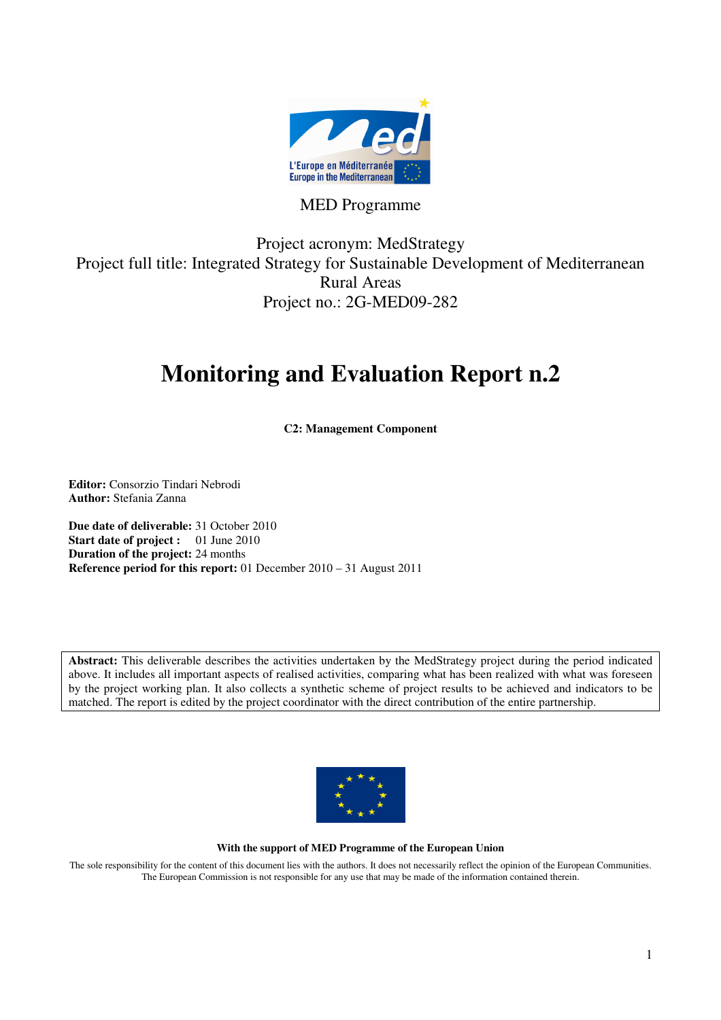

### MED Programme

Project acronym: MedStrategy Project full title: Integrated Strategy for Sustainable Development of Mediterranean Rural Areas Project no.: 2G-MED09-282

# **Monitoring and Evaluation Report n.2**

**C2: Management Component** 

**Editor:** Consorzio Tindari Nebrodi **Author:** Stefania Zanna

**Due date of deliverable:** 31 October 2010 **Start date of project :** 01 June 2010 **Duration of the project:** 24 months **Reference period for this report:** 01 December 2010 – 31 August 2011

**Abstract:** This deliverable describes the activities undertaken by the MedStrategy project during the period indicated above. It includes all important aspects of realised activities, comparing what has been realized with what was foreseen by the project working plan. It also collects a synthetic scheme of project results to be achieved and indicators to be matched. The report is edited by the project coordinator with the direct contribution of the entire partnership.



#### **With the support of MED Programme of the European Union**

The sole responsibility for the content of this document lies with the authors. It does not necessarily reflect the opinion of the European Communities. The European Commission is not responsible for any use that may be made of the information contained therein.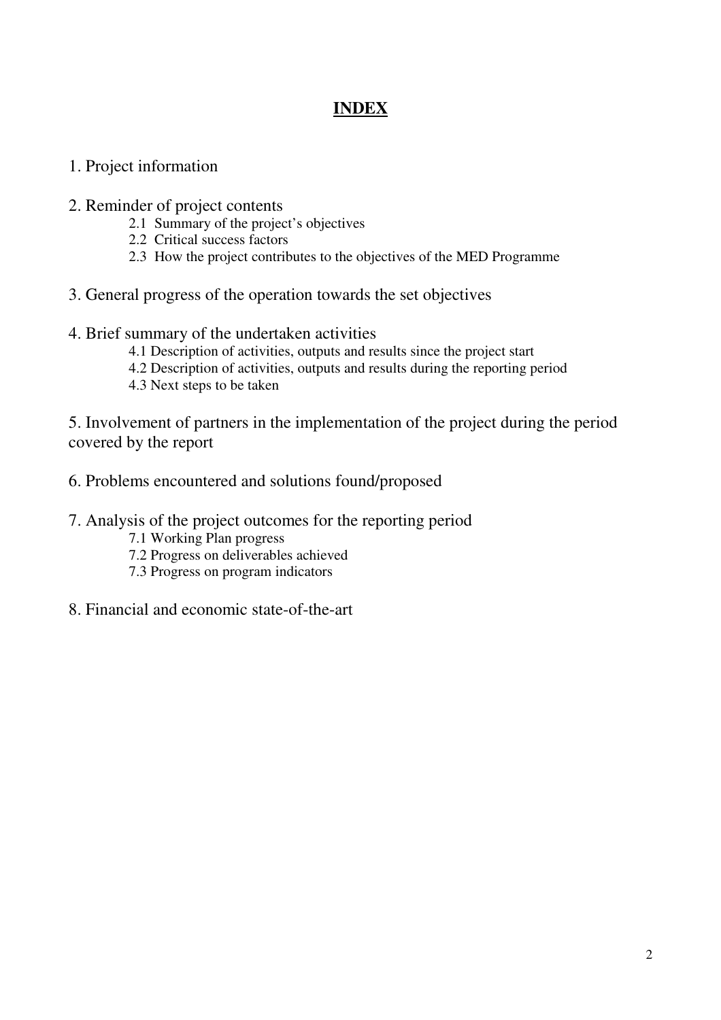### **INDEX**

- 1. Project information
- 2. Reminder of project contents
	- 2.1 Summary of the project's objectives
	- 2.2 Critical success factors
	- 2.3 How the project contributes to the objectives of the MED Programme
- 3. General progress of the operation towards the set objectives
- 4. Brief summary of the undertaken activities
	- 4.1 Description of activities, outputs and results since the project start
	- 4.2 Description of activities, outputs and results during the reporting period
	- 4.3 Next steps to be taken

5. Involvement of partners in the implementation of the project during the period covered by the report

- 6. Problems encountered and solutions found/proposed
- 7. Analysis of the project outcomes for the reporting period
	- 7.1 Working Plan progress
	- 7.2 Progress on deliverables achieved
	- 7.3 Progress on program indicators
- 8. Financial and economic state-of-the-art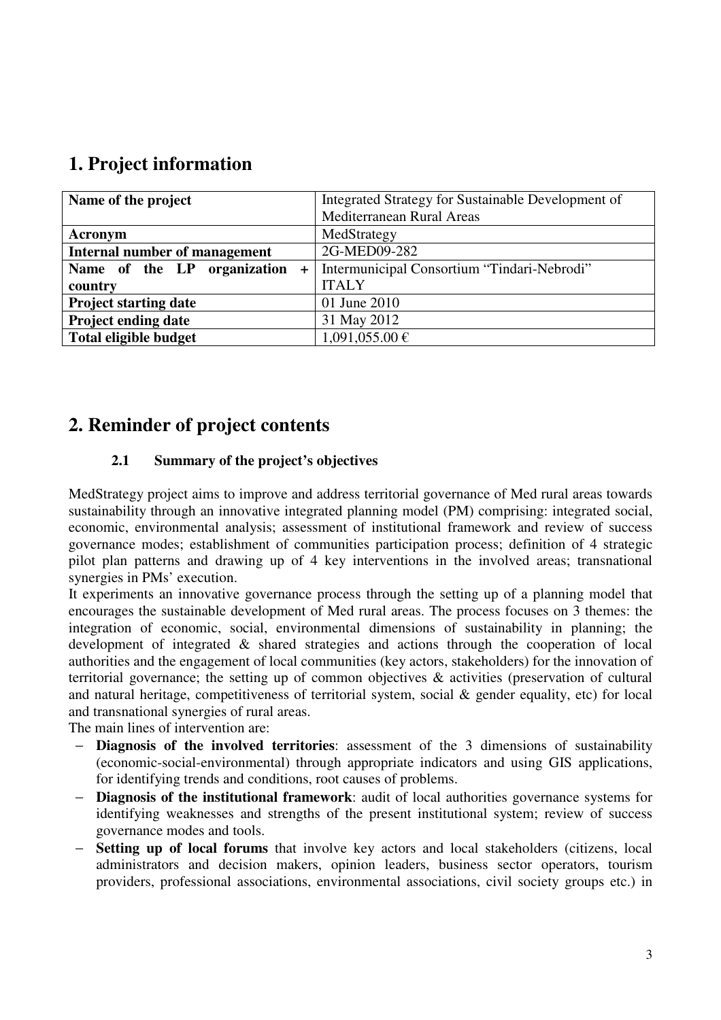### **1. Project information**

| Name of the project              | Integrated Strategy for Sustainable Development of |
|----------------------------------|----------------------------------------------------|
|                                  | Mediterranean Rural Areas                          |
| Acronym                          | MedStrategy                                        |
| Internal number of management    | 2G-MED09-282                                       |
| Name of the LP organization<br>÷ | Intermunicipal Consortium "Tindari-Nebrodi"        |
| country                          | <b>ITALY</b>                                       |
| <b>Project starting date</b>     | 01 June 2010                                       |
| <b>Project ending date</b>       | 31 May 2012                                        |
| <b>Total eligible budget</b>     | $1,091,055.00 \in$                                 |

### **2. Reminder of project contents**

#### **2.1 Summary of the project's objectives**

MedStrategy project aims to improve and address territorial governance of Med rural areas towards sustainability through an innovative integrated planning model (PM) comprising: integrated social, economic, environmental analysis; assessment of institutional framework and review of success governance modes; establishment of communities participation process; definition of 4 strategic pilot plan patterns and drawing up of 4 key interventions in the involved areas; transnational synergies in PMs' execution.

It experiments an innovative governance process through the setting up of a planning model that encourages the sustainable development of Med rural areas. The process focuses on 3 themes: the integration of economic, social, environmental dimensions of sustainability in planning; the development of integrated & shared strategies and actions through the cooperation of local authorities and the engagement of local communities (key actors, stakeholders) for the innovation of territorial governance; the setting up of common objectives & activities (preservation of cultural and natural heritage, competitiveness of territorial system, social & gender equality, etc) for local and transnational synergies of rural areas.

The main lines of intervention are:

- − **Diagnosis of the involved territories**: assessment of the 3 dimensions of sustainability (economic-social-environmental) through appropriate indicators and using GIS applications, for identifying trends and conditions, root causes of problems.
- − **Diagnosis of the institutional framework**: audit of local authorities governance systems for identifying weaknesses and strengths of the present institutional system; review of success governance modes and tools.
- − **Setting up of local forums** that involve key actors and local stakeholders (citizens, local administrators and decision makers, opinion leaders, business sector operators, tourism providers, professional associations, environmental associations, civil society groups etc.) in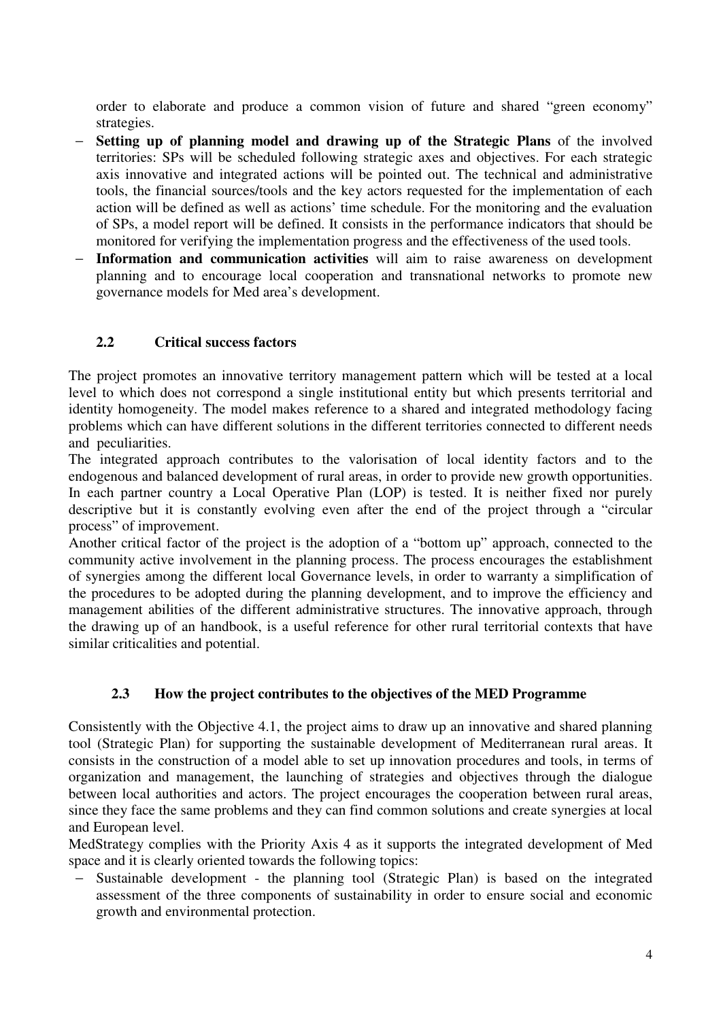order to elaborate and produce a common vision of future and shared "green economy" strategies.

- − **Setting up of planning model and drawing up of the Strategic Plans** of the involved territories: SPs will be scheduled following strategic axes and objectives. For each strategic axis innovative and integrated actions will be pointed out. The technical and administrative tools, the financial sources/tools and the key actors requested for the implementation of each action will be defined as well as actions' time schedule. For the monitoring and the evaluation of SPs, a model report will be defined. It consists in the performance indicators that should be monitored for verifying the implementation progress and the effectiveness of the used tools.
- Information and communication activities will aim to raise awareness on development planning and to encourage local cooperation and transnational networks to promote new governance models for Med area's development.

#### **2.2 Critical success factors**

The project promotes an innovative territory management pattern which will be tested at a local level to which does not correspond a single institutional entity but which presents territorial and identity homogeneity. The model makes reference to a shared and integrated methodology facing problems which can have different solutions in the different territories connected to different needs and peculiarities.

The integrated approach contributes to the valorisation of local identity factors and to the endogenous and balanced development of rural areas, in order to provide new growth opportunities. In each partner country a Local Operative Plan (LOP) is tested. It is neither fixed nor purely descriptive but it is constantly evolving even after the end of the project through a "circular process" of improvement.

Another critical factor of the project is the adoption of a "bottom up" approach, connected to the community active involvement in the planning process. The process encourages the establishment of synergies among the different local Governance levels, in order to warranty a simplification of the procedures to be adopted during the planning development, and to improve the efficiency and management abilities of the different administrative structures. The innovative approach, through the drawing up of an handbook, is a useful reference for other rural territorial contexts that have similar criticalities and potential.

#### **2.3 How the project contributes to the objectives of the MED Programme**

Consistently with the Objective 4.1, the project aims to draw up an innovative and shared planning tool (Strategic Plan) for supporting the sustainable development of Mediterranean rural areas. It consists in the construction of a model able to set up innovation procedures and tools, in terms of organization and management, the launching of strategies and objectives through the dialogue between local authorities and actors. The project encourages the cooperation between rural areas, since they face the same problems and they can find common solutions and create synergies at local and European level.

MedStrategy complies with the Priority Axis 4 as it supports the integrated development of Med space and it is clearly oriented towards the following topics:

Sustainable development - the planning tool (Strategic Plan) is based on the integrated assessment of the three components of sustainability in order to ensure social and economic growth and environmental protection.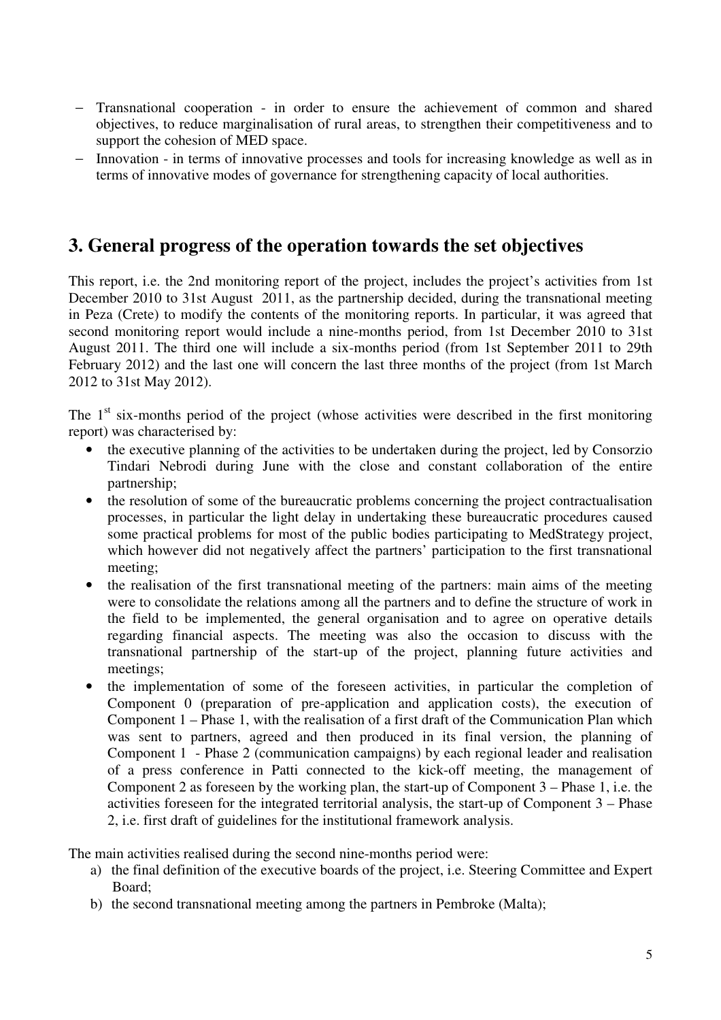- Transnational cooperation in order to ensure the achievement of common and shared objectives, to reduce marginalisation of rural areas, to strengthen their competitiveness and to support the cohesion of MED space.
- Innovation in terms of innovative processes and tools for increasing knowledge as well as in terms of innovative modes of governance for strengthening capacity of local authorities.

### **3. General progress of the operation towards the set objectives**

This report, i.e. the 2nd monitoring report of the project, includes the project's activities from 1st December 2010 to 31st August 2011, as the partnership decided, during the transnational meeting in Peza (Crete) to modify the contents of the monitoring reports. In particular, it was agreed that second monitoring report would include a nine-months period, from 1st December 2010 to 31st August 2011. The third one will include a six-months period (from 1st September 2011 to 29th February 2012) and the last one will concern the last three months of the project (from 1st March 2012 to 31st May 2012).

The  $1<sup>st</sup>$  six-months period of the project (whose activities were described in the first monitoring report) was characterised by:

- the executive planning of the activities to be undertaken during the project, led by Consorzio Tindari Nebrodi during June with the close and constant collaboration of the entire partnership;
- the resolution of some of the bureaucratic problems concerning the project contractualisation processes, in particular the light delay in undertaking these bureaucratic procedures caused some practical problems for most of the public bodies participating to MedStrategy project, which however did not negatively affect the partners' participation to the first transnational meeting;
- the realisation of the first transnational meeting of the partners: main aims of the meeting were to consolidate the relations among all the partners and to define the structure of work in the field to be implemented, the general organisation and to agree on operative details regarding financial aspects. The meeting was also the occasion to discuss with the transnational partnership of the start-up of the project, planning future activities and meetings;
- the implementation of some of the foreseen activities, in particular the completion of Component 0 (preparation of pre-application and application costs), the execution of Component 1 – Phase 1, with the realisation of a first draft of the Communication Plan which was sent to partners, agreed and then produced in its final version, the planning of Component 1 - Phase 2 (communication campaigns) by each regional leader and realisation of a press conference in Patti connected to the kick-off meeting, the management of Component 2 as foreseen by the working plan, the start-up of Component 3 – Phase 1, i.e. the activities foreseen for the integrated territorial analysis, the start-up of Component 3 – Phase 2, i.e. first draft of guidelines for the institutional framework analysis.

The main activities realised during the second nine-months period were:

- a) the final definition of the executive boards of the project, i.e. Steering Committee and Expert Board;
- b) the second transnational meeting among the partners in Pembroke (Malta);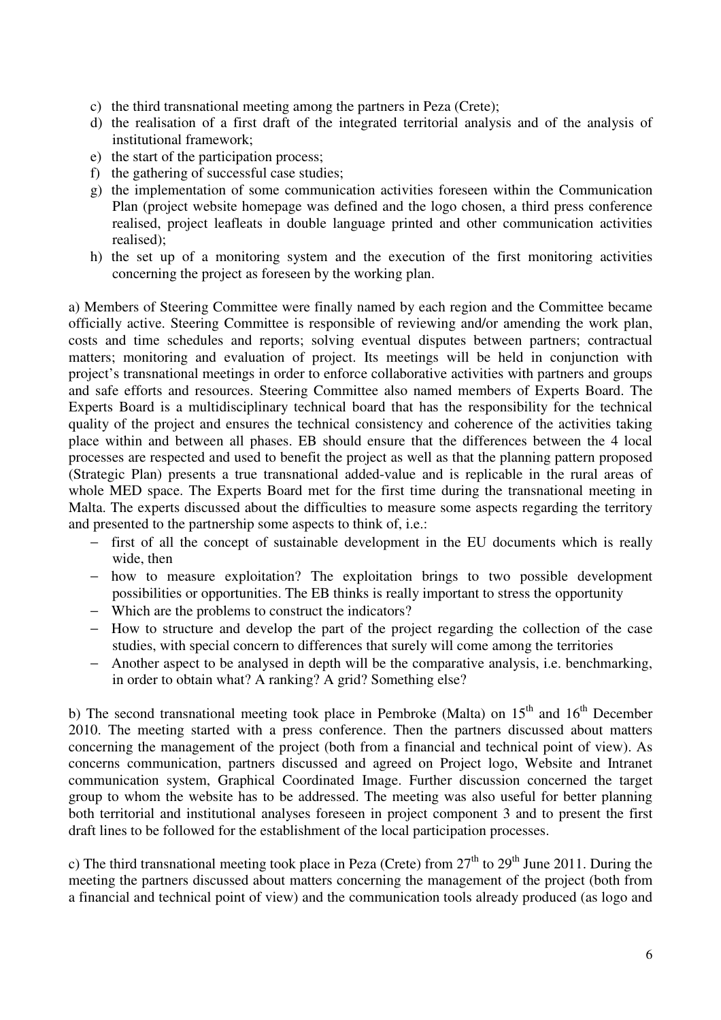- c) the third transnational meeting among the partners in Peza (Crete);
- d) the realisation of a first draft of the integrated territorial analysis and of the analysis of institutional framework;
- e) the start of the participation process;
- f) the gathering of successful case studies;
- g) the implementation of some communication activities foreseen within the Communication Plan (project website homepage was defined and the logo chosen, a third press conference realised, project leafleats in double language printed and other communication activities realised);
- h) the set up of a monitoring system and the execution of the first monitoring activities concerning the project as foreseen by the working plan.

a) Members of Steering Committee were finally named by each region and the Committee became officially active. Steering Committee is responsible of reviewing and/or amending the work plan, costs and time schedules and reports; solving eventual disputes between partners; contractual matters; monitoring and evaluation of project. Its meetings will be held in conjunction with project's transnational meetings in order to enforce collaborative activities with partners and groups and safe efforts and resources. Steering Committee also named members of Experts Board. The Experts Board is a multidisciplinary technical board that has the responsibility for the technical quality of the project and ensures the technical consistency and coherence of the activities taking place within and between all phases. EB should ensure that the differences between the 4 local processes are respected and used to benefit the project as well as that the planning pattern proposed (Strategic Plan) presents a true transnational added-value and is replicable in the rural areas of whole MED space. The Experts Board met for the first time during the transnational meeting in Malta. The experts discussed about the difficulties to measure some aspects regarding the territory and presented to the partnership some aspects to think of, i.e.:

- − first of all the concept of sustainable development in the EU documents which is really wide, then
- − how to measure exploitation? The exploitation brings to two possible development possibilities or opportunities. The EB thinks is really important to stress the opportunity
- − Which are the problems to construct the indicators?
- − How to structure and develop the part of the project regarding the collection of the case studies, with special concern to differences that surely will come among the territories
- − Another aspect to be analysed in depth will be the comparative analysis, i.e. benchmarking, in order to obtain what? A ranking? A grid? Something else?

b) The second transnational meeting took place in Pembroke (Malta) on  $15<sup>th</sup>$  and  $16<sup>th</sup>$  December 2010. The meeting started with a press conference. Then the partners discussed about matters concerning the management of the project (both from a financial and technical point of view). As concerns communication, partners discussed and agreed on Project logo, Website and Intranet communication system, Graphical Coordinated Image. Further discussion concerned the target group to whom the website has to be addressed. The meeting was also useful for better planning both territorial and institutional analyses foreseen in project component 3 and to present the first draft lines to be followed for the establishment of the local participation processes.

c) The third transnational meeting took place in Peza (Crete) from  $27<sup>th</sup>$  to  $29<sup>th</sup>$  June 2011. During the meeting the partners discussed about matters concerning the management of the project (both from a financial and technical point of view) and the communication tools already produced (as logo and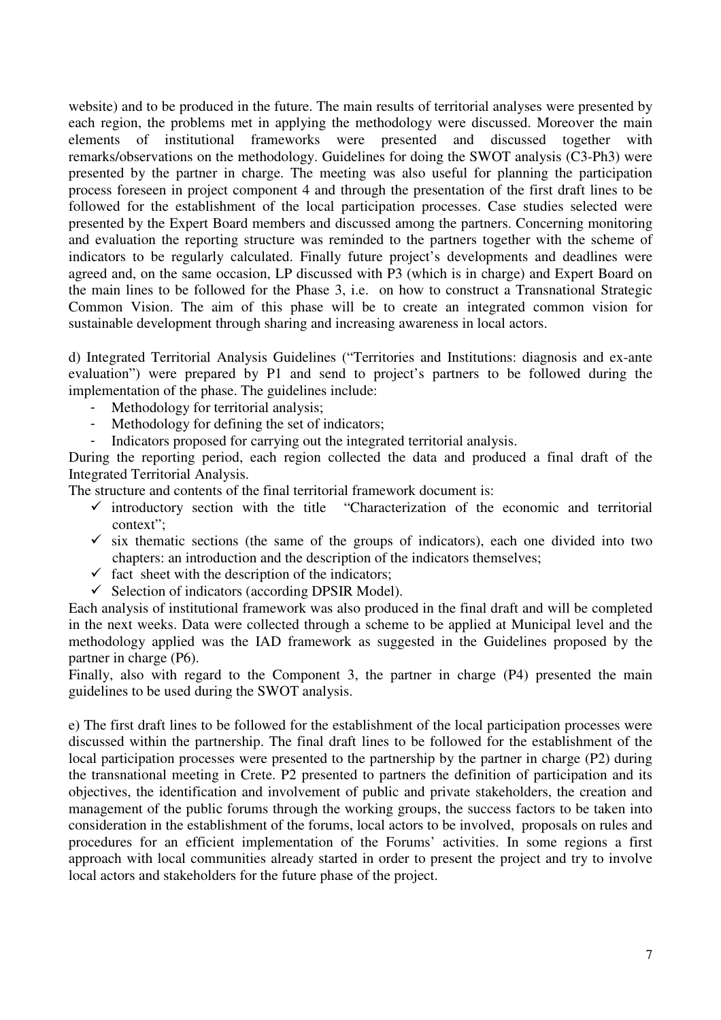website) and to be produced in the future. The main results of territorial analyses were presented by each region, the problems met in applying the methodology were discussed. Moreover the main elements of institutional frameworks were presented and discussed together with remarks/observations on the methodology. Guidelines for doing the SWOT analysis (C3-Ph3) were presented by the partner in charge. The meeting was also useful for planning the participation process foreseen in project component 4 and through the presentation of the first draft lines to be followed for the establishment of the local participation processes. Case studies selected were presented by the Expert Board members and discussed among the partners. Concerning monitoring and evaluation the reporting structure was reminded to the partners together with the scheme of indicators to be regularly calculated. Finally future project's developments and deadlines were agreed and, on the same occasion, LP discussed with P3 (which is in charge) and Expert Board on the main lines to be followed for the Phase 3, i.e. on how to construct a Transnational Strategic Common Vision. The aim of this phase will be to create an integrated common vision for sustainable development through sharing and increasing awareness in local actors.

d) Integrated Territorial Analysis Guidelines ("Territories and Institutions: diagnosis and ex-ante evaluation") were prepared by P1 and send to project's partners to be followed during the implementation of the phase. The guidelines include:

- Methodology for territorial analysis;
- Methodology for defining the set of indicators;
- Indicators proposed for carrying out the integrated territorial analysis.

During the reporting period, each region collected the data and produced a final draft of the Integrated Territorial Analysis.

The structure and contents of the final territorial framework document is:

- $\checkmark$  introductory section with the title "Characterization of the economic and territorial context";
- $\checkmark$  six thematic sections (the same of the groups of indicators), each one divided into two chapters: an introduction and the description of the indicators themselves;
- $\checkmark$  fact sheet with the description of the indicators;
- $\checkmark$  Selection of indicators (according DPSIR Model).

Each analysis of institutional framework was also produced in the final draft and will be completed in the next weeks. Data were collected through a scheme to be applied at Municipal level and the methodology applied was the IAD framework as suggested in the Guidelines proposed by the partner in charge (P6).

Finally, also with regard to the Component 3, the partner in charge (P4) presented the main guidelines to be used during the SWOT analysis.

e) The first draft lines to be followed for the establishment of the local participation processes were discussed within the partnership. The final draft lines to be followed for the establishment of the local participation processes were presented to the partnership by the partner in charge (P2) during the transnational meeting in Crete. P2 presented to partners the definition of participation and its objectives, the identification and involvement of public and private stakeholders, the creation and management of the public forums through the working groups, the success factors to be taken into consideration in the establishment of the forums, local actors to be involved, proposals on rules and procedures for an efficient implementation of the Forums' activities. In some regions a first approach with local communities already started in order to present the project and try to involve local actors and stakeholders for the future phase of the project.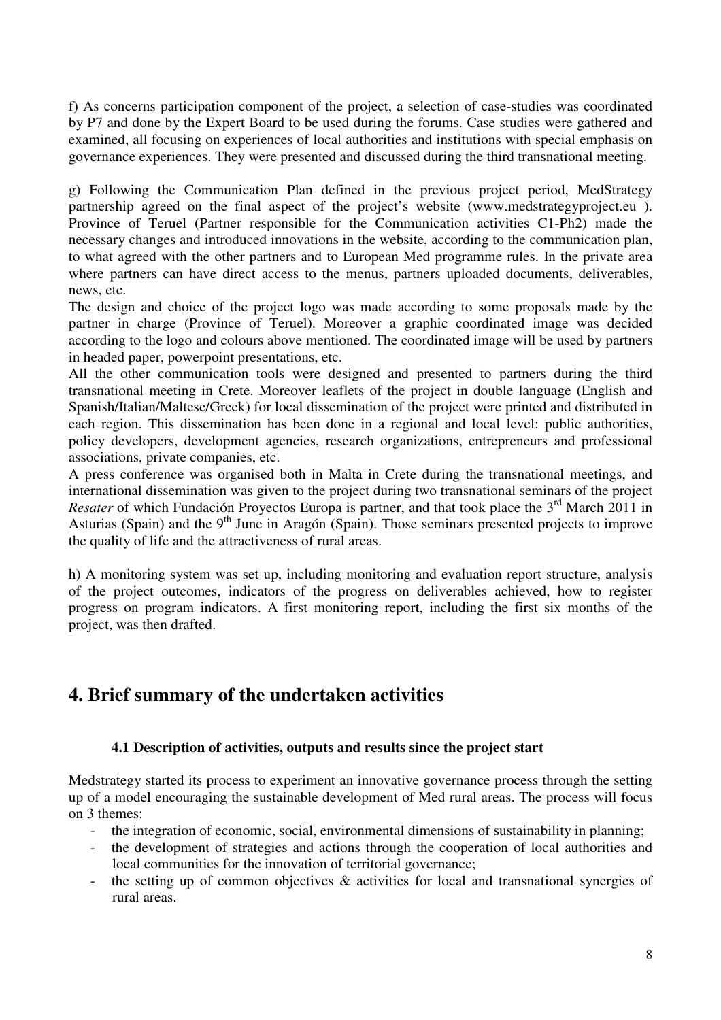f) As concerns participation component of the project, a selection of case-studies was coordinated by P7 and done by the Expert Board to be used during the forums. Case studies were gathered and examined, all focusing on experiences of local authorities and institutions with special emphasis on governance experiences. They were presented and discussed during the third transnational meeting.

g) Following the Communication Plan defined in the previous project period, MedStrategy partnership agreed on the final aspect of the project's website (www.medstrategyproject.eu ). Province of Teruel (Partner responsible for the Communication activities C1-Ph2) made the necessary changes and introduced innovations in the website, according to the communication plan, to what agreed with the other partners and to European Med programme rules. In the private area where partners can have direct access to the menus, partners uploaded documents, deliverables, news, etc.

The design and choice of the project logo was made according to some proposals made by the partner in charge (Province of Teruel). Moreover a graphic coordinated image was decided according to the logo and colours above mentioned. The coordinated image will be used by partners in headed paper, powerpoint presentations, etc.

All the other communication tools were designed and presented to partners during the third transnational meeting in Crete. Moreover leaflets of the project in double language (English and Spanish/Italian/Maltese/Greek) for local dissemination of the project were printed and distributed in each region. This dissemination has been done in a regional and local level: public authorities, policy developers, development agencies, research organizations, entrepreneurs and professional associations, private companies, etc.

A press conference was organised both in Malta in Crete during the transnational meetings, and international dissemination was given to the project during two transnational seminars of the project *Resater* of which Fundación Proyectos Europa is partner, and that took place the 3<sup>rd</sup> March 2011 in Asturias (Spain) and the 9<sup>th</sup> June in Aragón (Spain). Those seminars presented projects to improve the quality of life and the attractiveness of rural areas.

h) A monitoring system was set up, including monitoring and evaluation report structure, analysis of the project outcomes, indicators of the progress on deliverables achieved, how to register progress on program indicators. A first monitoring report, including the first six months of the project, was then drafted.

### **4. Brief summary of the undertaken activities**

#### **4.1 Description of activities, outputs and results since the project start**

Medstrategy started its process to experiment an innovative governance process through the setting up of a model encouraging the sustainable development of Med rural areas. The process will focus on 3 themes:

- the integration of economic, social, environmental dimensions of sustainability in planning;
- the development of strategies and actions through the cooperation of local authorities and local communities for the innovation of territorial governance;
- the setting up of common objectives & activities for local and transnational synergies of rural areas.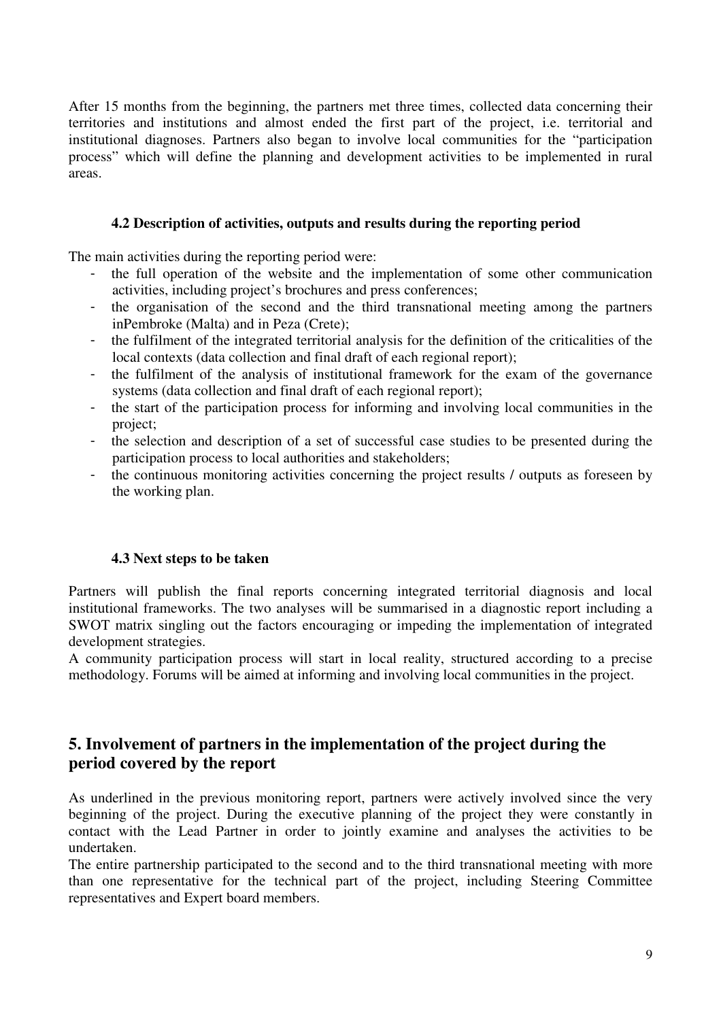After 15 months from the beginning, the partners met three times, collected data concerning their territories and institutions and almost ended the first part of the project, i.e. territorial and institutional diagnoses. Partners also began to involve local communities for the "participation process" which will define the planning and development activities to be implemented in rural areas.

#### **4.2 Description of activities, outputs and results during the reporting period**

The main activities during the reporting period were:

- the full operation of the website and the implementation of some other communication activities, including project's brochures and press conferences;
- the organisation of the second and the third transnational meeting among the partners inPembroke (Malta) and in Peza (Crete);
- the fulfilment of the integrated territorial analysis for the definition of the criticalities of the local contexts (data collection and final draft of each regional report);
- the fulfilment of the analysis of institutional framework for the exam of the governance systems (data collection and final draft of each regional report);
- the start of the participation process for informing and involving local communities in the project;
- the selection and description of a set of successful case studies to be presented during the participation process to local authorities and stakeholders;
- the continuous monitoring activities concerning the project results / outputs as foreseen by the working plan.

#### **4.3 Next steps to be taken**

Partners will publish the final reports concerning integrated territorial diagnosis and local institutional frameworks. The two analyses will be summarised in a diagnostic report including a SWOT matrix singling out the factors encouraging or impeding the implementation of integrated development strategies.

A community participation process will start in local reality, structured according to a precise methodology. Forums will be aimed at informing and involving local communities in the project.

#### **5. Involvement of partners in the implementation of the project during the period covered by the report**

As underlined in the previous monitoring report, partners were actively involved since the very beginning of the project. During the executive planning of the project they were constantly in contact with the Lead Partner in order to jointly examine and analyses the activities to be undertaken.

The entire partnership participated to the second and to the third transnational meeting with more than one representative for the technical part of the project, including Steering Committee representatives and Expert board members.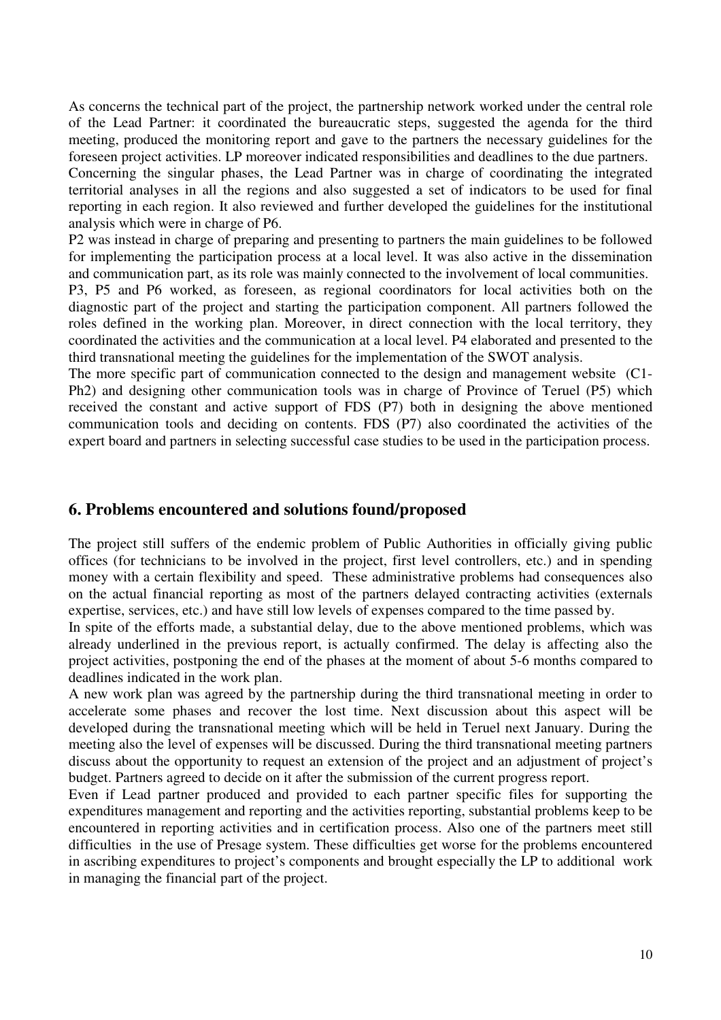As concerns the technical part of the project, the partnership network worked under the central role of the Lead Partner: it coordinated the bureaucratic steps, suggested the agenda for the third meeting, produced the monitoring report and gave to the partners the necessary guidelines for the foreseen project activities. LP moreover indicated responsibilities and deadlines to the due partners. Concerning the singular phases, the Lead Partner was in charge of coordinating the integrated territorial analyses in all the regions and also suggested a set of indicators to be used for final reporting in each region. It also reviewed and further developed the guidelines for the institutional analysis which were in charge of P6.

P2 was instead in charge of preparing and presenting to partners the main guidelines to be followed for implementing the participation process at a local level. It was also active in the dissemination and communication part, as its role was mainly connected to the involvement of local communities.

P3, P5 and P6 worked, as foreseen, as regional coordinators for local activities both on the diagnostic part of the project and starting the participation component. All partners followed the roles defined in the working plan. Moreover, in direct connection with the local territory, they coordinated the activities and the communication at a local level. P4 elaborated and presented to the third transnational meeting the guidelines for the implementation of the SWOT analysis.

The more specific part of communication connected to the design and management website (C1- Ph2) and designing other communication tools was in charge of Province of Teruel (P5) which received the constant and active support of FDS (P7) both in designing the above mentioned communication tools and deciding on contents. FDS (P7) also coordinated the activities of the expert board and partners in selecting successful case studies to be used in the participation process.

#### **6. Problems encountered and solutions found/proposed**

The project still suffers of the endemic problem of Public Authorities in officially giving public offices (for technicians to be involved in the project, first level controllers, etc.) and in spending money with a certain flexibility and speed. These administrative problems had consequences also on the actual financial reporting as most of the partners delayed contracting activities (externals expertise, services, etc.) and have still low levels of expenses compared to the time passed by.

In spite of the efforts made, a substantial delay, due to the above mentioned problems, which was already underlined in the previous report, is actually confirmed. The delay is affecting also the project activities, postponing the end of the phases at the moment of about 5-6 months compared to deadlines indicated in the work plan.

A new work plan was agreed by the partnership during the third transnational meeting in order to accelerate some phases and recover the lost time. Next discussion about this aspect will be developed during the transnational meeting which will be held in Teruel next January. During the meeting also the level of expenses will be discussed. During the third transnational meeting partners discuss about the opportunity to request an extension of the project and an adjustment of project's budget. Partners agreed to decide on it after the submission of the current progress report.

Even if Lead partner produced and provided to each partner specific files for supporting the expenditures management and reporting and the activities reporting, substantial problems keep to be encountered in reporting activities and in certification process. Also one of the partners meet still difficulties in the use of Presage system. These difficulties get worse for the problems encountered in ascribing expenditures to project's components and brought especially the LP to additional work in managing the financial part of the project.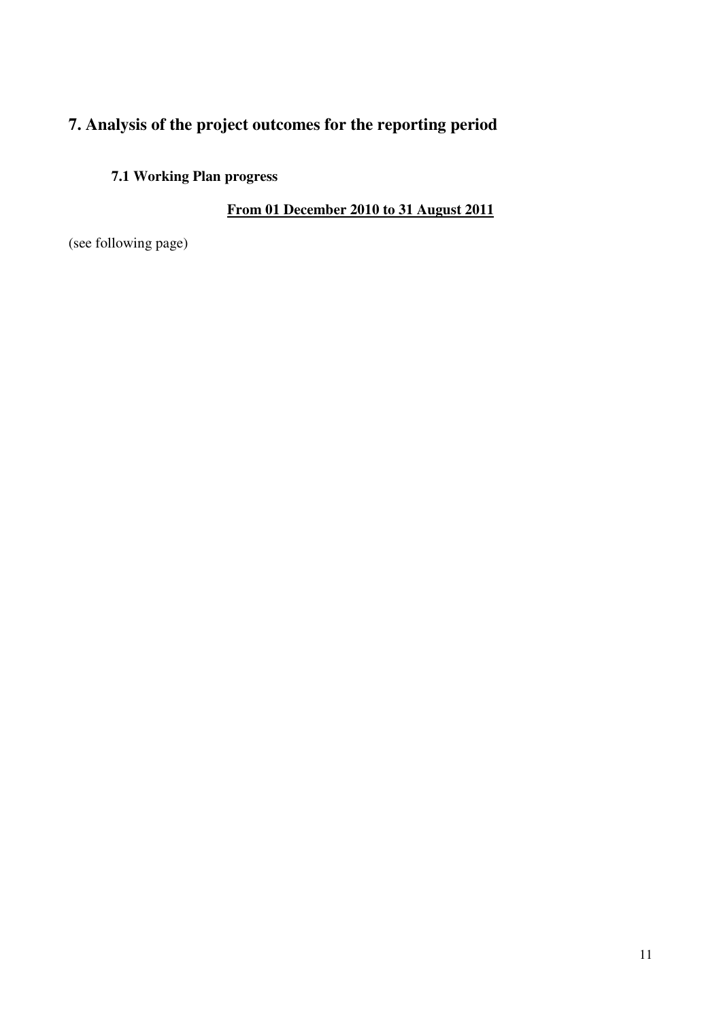## **7. Analysis of the project outcomes for the reporting period**

### **7.1 Working Plan progress**

### **From 01 December 2010 to 31 August 2011**

(see following page)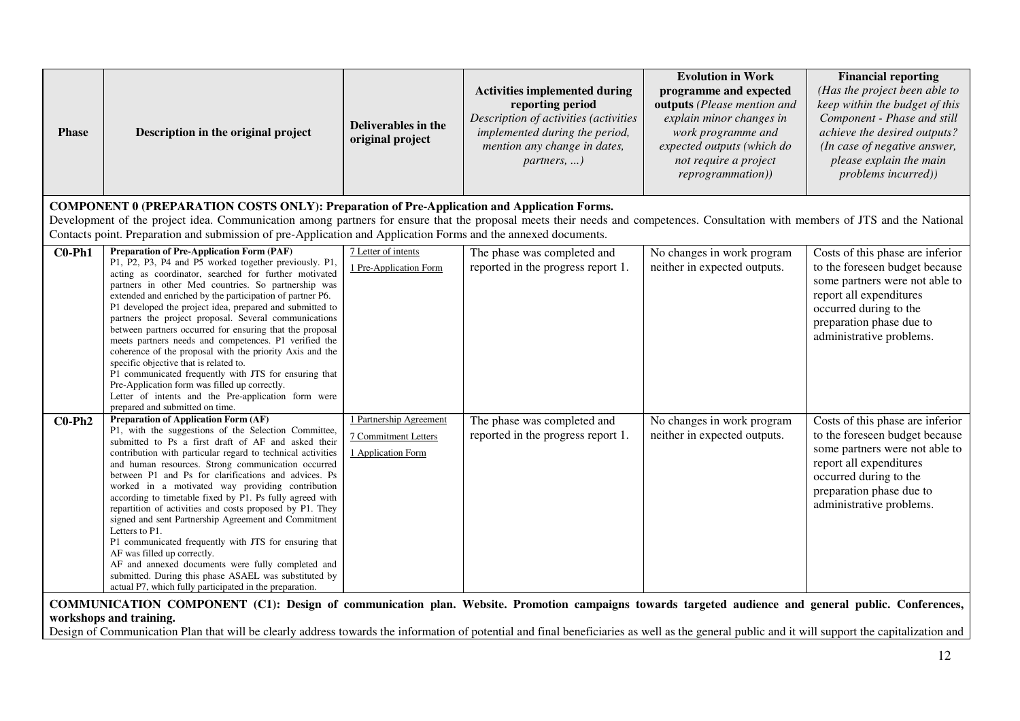| <b>Phase</b> | Description in the original project                                                                                                                                                                                                                                                                                                                                                                                                                                                                                                                                                                                                                                                                                                                                                                                                                            | Deliverables in the<br>original project                               | <b>Activities implemented during</b><br>reporting period<br>Description of activities (activities<br>implemented during the period,<br>mention any change in dates,<br>$partners, \ldots)$ | <b>Evolution in Work</b><br>programme and expected<br>outputs (Please mention and<br>explain minor changes in<br>work programme and<br>expected outputs (which do<br>not require a project<br>reprogrammation)) | <b>Financial reporting</b><br>(Has the project been able to<br>keep within the budget of this<br>Component - Phase and still<br>achieve the desired outputs?<br>(In case of negative answer,<br>please explain the main<br>problems incurred)) |
|--------------|----------------------------------------------------------------------------------------------------------------------------------------------------------------------------------------------------------------------------------------------------------------------------------------------------------------------------------------------------------------------------------------------------------------------------------------------------------------------------------------------------------------------------------------------------------------------------------------------------------------------------------------------------------------------------------------------------------------------------------------------------------------------------------------------------------------------------------------------------------------|-----------------------------------------------------------------------|--------------------------------------------------------------------------------------------------------------------------------------------------------------------------------------------|-----------------------------------------------------------------------------------------------------------------------------------------------------------------------------------------------------------------|------------------------------------------------------------------------------------------------------------------------------------------------------------------------------------------------------------------------------------------------|
|              | <b>COMPONENT 0 (PREPARATION COSTS ONLY): Preparation of Pre-Application and Application Forms.</b><br>Development of the project idea. Communication among partners for ensure that the proposal meets their needs and competences. Consultation with members of JTS and the National<br>Contacts point. Preparation and submission of pre-Application and Application Forms and the annexed documents.                                                                                                                                                                                                                                                                                                                                                                                                                                                        |                                                                       |                                                                                                                                                                                            |                                                                                                                                                                                                                 |                                                                                                                                                                                                                                                |
| $CO-Ph1$     | Preparation of Pre-Application Form (PAF)<br>P1, P2, P3, P4 and P5 worked together previously. P1,<br>acting as coordinator, searched for further motivated<br>partners in other Med countries. So partnership was<br>extended and enriched by the participation of partner P6.<br>P1 developed the project idea, prepared and submitted to<br>partners the project proposal. Several communications<br>between partners occurred for ensuring that the proposal<br>meets partners needs and competences. P1 verified the<br>coherence of the proposal with the priority Axis and the<br>specific objective that is related to.<br>P1 communicated frequently with JTS for ensuring that<br>Pre-Application form was filled up correctly.<br>Letter of intents and the Pre-application form were<br>prepared and submitted on time.                            | 7 Letter of intents<br>1 Pre-Application Form                         | The phase was completed and<br>reported in the progress report 1.                                                                                                                          | No changes in work program<br>neither in expected outputs.                                                                                                                                                      | Costs of this phase are inferior<br>to the foreseen budget because<br>some partners were not able to<br>report all expenditures<br>occurred during to the<br>preparation phase due to<br>administrative problems.                              |
| $C0-Ph2$     | <b>Preparation of Application Form (AF)</b><br>P1, with the suggestions of the Selection Committee,<br>submitted to Ps a first draft of AF and asked their<br>contribution with particular regard to technical activities<br>and human resources. Strong communication occurred<br>between P1 and Ps for clarifications and advices. Ps<br>worked in a motivated way providing contribution<br>according to timetable fixed by P1. Ps fully agreed with<br>repartition of activities and costs proposed by P1. They<br>signed and sent Partnership Agreement and Commitment<br>Letters to P1.<br>P1 communicated frequently with JTS for ensuring that<br>AF was filled up correctly.<br>AF and annexed documents were fully completed and<br>submitted. During this phase ASAEL was substituted by<br>actual P7, which fully participated in the preparation. | 1 Partnership Agreement<br>7 Commitment Letters<br>1 Application Form | The phase was completed and<br>reported in the progress report 1.                                                                                                                          | No changes in work program<br>neither in expected outputs.                                                                                                                                                      | Costs of this phase are inferior<br>to the foreseen budget because<br>some partners were not able to<br>report all expenditures<br>occurred during to the<br>preparation phase due to<br>administrative problems.                              |

**COMMUNICATION COMPONENT (C1): Design of communication plan. Website. Promotion campaigns towards targeted audience and general public. Conferences, workshops and training.** 

Design of Communication Plan that will be clearly address towards the information of potential and final beneficiaries as well as the general public and it will support the capitalization and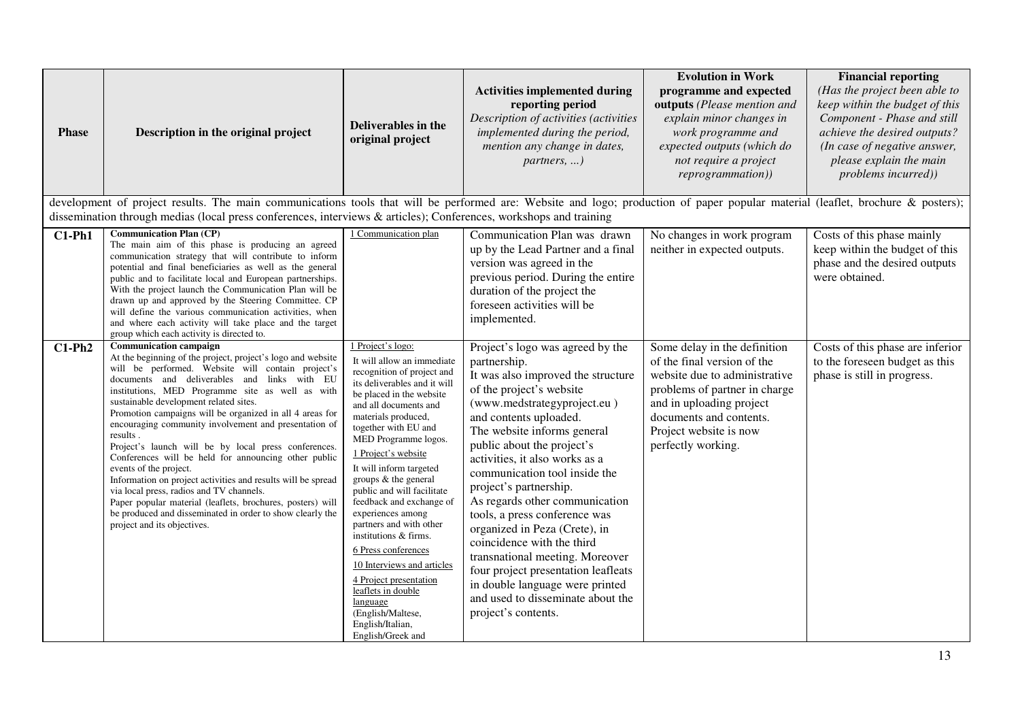| <b>Phase</b> | Description in the original project                                                                                                                                                                                                                                                                                                                                                                                                                                                                                                                                                                                                                                                                                                                                                                                                              | Deliverables in the<br>original project                                                                                                                                                                                                                                                                                                                                                                                                                                                                                                                                                                                               | <b>Activities implemented during</b><br>reporting period<br>Description of activities (activities<br>implemented during the period,<br>mention any change in dates,<br>partners, )                                                                                                                                                                                                                                                                                                                                                                                                                                                               | <b>Evolution in Work</b><br>programme and expected<br>outputs (Please mention and<br>explain minor changes in<br>work programme and<br>expected outputs (which do<br>not require a project<br>reprogrammation))                      | <b>Financial reporting</b><br>(Has the project been able to<br>keep within the budget of this<br>Component - Phase and still<br>achieve the desired outputs?<br>(In case of negative answer,<br>please explain the main<br><i>problems incurred))</i> |
|--------------|--------------------------------------------------------------------------------------------------------------------------------------------------------------------------------------------------------------------------------------------------------------------------------------------------------------------------------------------------------------------------------------------------------------------------------------------------------------------------------------------------------------------------------------------------------------------------------------------------------------------------------------------------------------------------------------------------------------------------------------------------------------------------------------------------------------------------------------------------|---------------------------------------------------------------------------------------------------------------------------------------------------------------------------------------------------------------------------------------------------------------------------------------------------------------------------------------------------------------------------------------------------------------------------------------------------------------------------------------------------------------------------------------------------------------------------------------------------------------------------------------|--------------------------------------------------------------------------------------------------------------------------------------------------------------------------------------------------------------------------------------------------------------------------------------------------------------------------------------------------------------------------------------------------------------------------------------------------------------------------------------------------------------------------------------------------------------------------------------------------------------------------------------------------|--------------------------------------------------------------------------------------------------------------------------------------------------------------------------------------------------------------------------------------|-------------------------------------------------------------------------------------------------------------------------------------------------------------------------------------------------------------------------------------------------------|
|              | development of project results. The main communications tools that will be performed are: Website and logo; production of paper popular material (leaflet, brochure & posters);<br>dissemination through medias (local press conferences, interviews & articles); Conferences, workshops and training                                                                                                                                                                                                                                                                                                                                                                                                                                                                                                                                            |                                                                                                                                                                                                                                                                                                                                                                                                                                                                                                                                                                                                                                       |                                                                                                                                                                                                                                                                                                                                                                                                                                                                                                                                                                                                                                                  |                                                                                                                                                                                                                                      |                                                                                                                                                                                                                                                       |
| $C1-Ph1$     | <b>Communication Plan (CP)</b><br>The main aim of this phase is producing an agreed<br>communication strategy that will contribute to inform<br>potential and final beneficiaries as well as the general<br>public and to facilitate local and European partnerships.<br>With the project launch the Communication Plan will be<br>drawn up and approved by the Steering Committee. CP<br>will define the various communication activities, when<br>and where each activity will take place and the target<br>group which each activity is directed to.                                                                                                                                                                                                                                                                                          | 1 Communication plan                                                                                                                                                                                                                                                                                                                                                                                                                                                                                                                                                                                                                  | Communication Plan was drawn<br>up by the Lead Partner and a final<br>version was agreed in the<br>previous period. During the entire<br>duration of the project the<br>foreseen activities will be<br>implemented.                                                                                                                                                                                                                                                                                                                                                                                                                              | No changes in work program<br>neither in expected outputs.                                                                                                                                                                           | Costs of this phase mainly<br>keep within the budget of this<br>phase and the desired outputs<br>were obtained.                                                                                                                                       |
| $C1-Ph2$     | <b>Communication campaign</b><br>At the beginning of the project, project's logo and website<br>will be performed. Website will contain project's<br>documents and deliverables and links with EU<br>institutions, MED Programme site as well as with<br>sustainable development related sites.<br>Promotion campaigns will be organized in all 4 areas for<br>encouraging community involvement and presentation of<br>results.<br>Project's launch will be by local press conferences.<br>Conferences will be held for announcing other public<br>events of the project.<br>Information on project activities and results will be spread<br>via local press, radios and TV channels.<br>Paper popular material (leaflets, brochures, posters) will<br>be produced and disseminated in order to show clearly the<br>project and its objectives. | 1 Project's logo:<br>It will allow an immediate<br>recognition of project and<br>its deliverables and it will<br>be placed in the website<br>and all documents and<br>materials produced,<br>together with EU and<br>MED Programme logos.<br>1 Project's website<br>It will inform targeted<br>groups & the general<br>public and will facilitate<br>feedback and exchange of<br>experiences among<br>partners and with other<br>institutions & firms.<br>6 Press conferences<br>10 Interviews and articles<br>4 Project presentation<br>leaflets in double<br>language<br>(English/Maltese,<br>English/Italian,<br>English/Greek and | Project's logo was agreed by the<br>partnership.<br>It was also improved the structure<br>of the project's website<br>(www.medstrategyproject.eu)<br>and contents uploaded.<br>The website informs general<br>public about the project's<br>activities, it also works as a<br>communication tool inside the<br>project's partnership.<br>As regards other communication<br>tools, a press conference was<br>organized in Peza (Crete), in<br>coincidence with the third<br>transnational meeting. Moreover<br>four project presentation leafleats<br>in double language were printed<br>and used to disseminate about the<br>project's contents. | Some delay in the definition<br>of the final version of the<br>website due to administrative<br>problems of partner in charge<br>and in uploading project<br>documents and contents.<br>Project website is now<br>perfectly working. | Costs of this phase are inferior<br>to the foreseen budget as this<br>phase is still in progress.                                                                                                                                                     |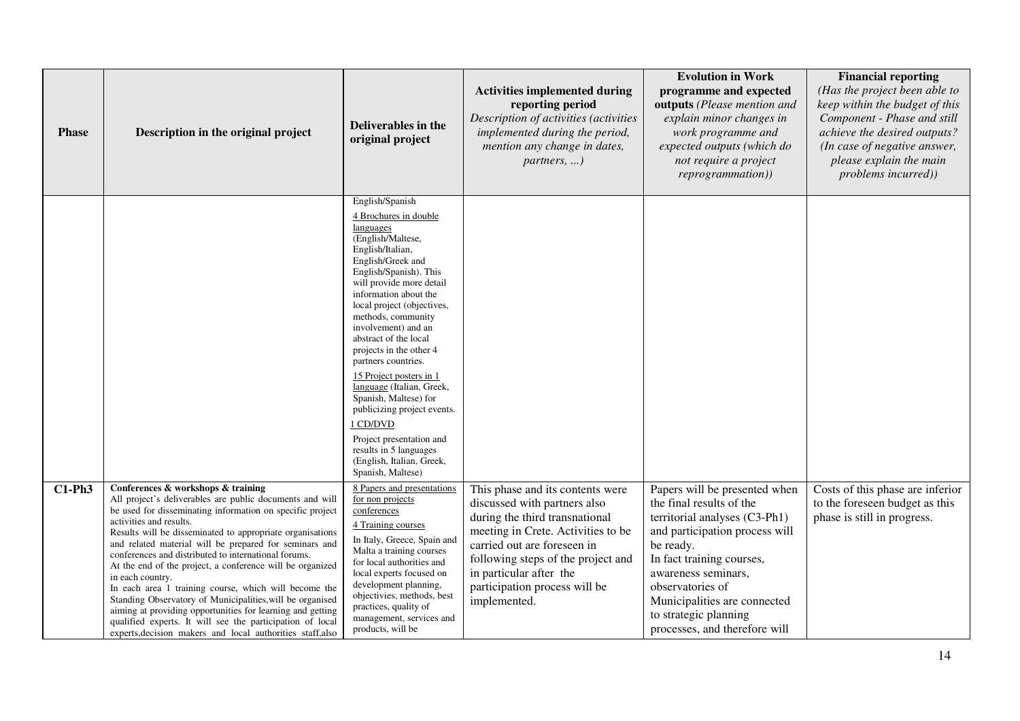| <b>Phase</b> | Description in the original project                                                                                                                                                                                                                                                                                                                                                                                                                                                                                                                                                                                                                                                                                                                                   | <b>Deliverables in the</b><br>original project                                                                                                                                                                                                                                                                                                                                                                                                                                                                                                                                               | <b>Activities implemented during</b><br>reporting period<br>Description of activities (activities<br>implemented during the period,<br>mention any change in dates,<br>partners, )                                                                                                        | <b>Evolution in Work</b><br>programme and expected<br>outputs (Please mention and<br>explain minor changes in<br>work programme and<br>expected outputs (which do<br>not require a project<br>reprogrammation))                                                                                             | <b>Financial reporting</b><br>(Has the project been able to<br>keep within the budget of this<br>Component - Phase and still<br>achieve the desired outputs?<br>(In case of negative answer,<br>please explain the main<br>problems incurred)) |
|--------------|-----------------------------------------------------------------------------------------------------------------------------------------------------------------------------------------------------------------------------------------------------------------------------------------------------------------------------------------------------------------------------------------------------------------------------------------------------------------------------------------------------------------------------------------------------------------------------------------------------------------------------------------------------------------------------------------------------------------------------------------------------------------------|----------------------------------------------------------------------------------------------------------------------------------------------------------------------------------------------------------------------------------------------------------------------------------------------------------------------------------------------------------------------------------------------------------------------------------------------------------------------------------------------------------------------------------------------------------------------------------------------|-------------------------------------------------------------------------------------------------------------------------------------------------------------------------------------------------------------------------------------------------------------------------------------------|-------------------------------------------------------------------------------------------------------------------------------------------------------------------------------------------------------------------------------------------------------------------------------------------------------------|------------------------------------------------------------------------------------------------------------------------------------------------------------------------------------------------------------------------------------------------|
|              |                                                                                                                                                                                                                                                                                                                                                                                                                                                                                                                                                                                                                                                                                                                                                                       | English/Spanish<br>4 Brochures in double<br>languages<br>(English/Maltese,<br>English/Italian,<br>English/Greek and<br>English/Spanish). This<br>will provide more detail<br>information about the<br>local project (objectives,<br>methods, community<br>involvement) and an<br>abstract of the local<br>projects in the other 4<br>partners countries.<br>15 Project posters in 1<br>language (Italian, Greek,<br>Spanish, Maltese) for<br>publicizing project events.<br>1 CD/DVD<br>Project presentation and<br>results in 5 languages<br>(English, Italian, Greek,<br>Spanish, Maltese) |                                                                                                                                                                                                                                                                                           |                                                                                                                                                                                                                                                                                                             |                                                                                                                                                                                                                                                |
| $C1-Ph3$     | Conferences & workshops & training<br>All project's deliverables are public documents and will<br>be used for disseminating information on specific project<br>activities and results.<br>Results will be disseminated to appropriate organisations<br>and related material will be prepared for seminars and<br>conferences and distributed to international forums.<br>At the end of the project, a conference will be organized<br>in each country.<br>In each area 1 training course, which will become the<br>Standing Observatory of Municipalities, will be organised<br>aiming at providing opportunities for learning and getting<br>qualified experts. It will see the participation of local<br>experts, decision makers and local authorities staff, also | 8 Papers and presentations<br>for non projects<br>conferences<br>4 Training courses<br>In Italy, Greece, Spain and<br>Malta a training courses<br>for local authorities and<br>local experts focused on<br>development planning,<br>objectivies, methods, best<br>practices, quality of<br>management, services and<br>products, will be                                                                                                                                                                                                                                                     | This phase and its contents were<br>discussed with partners also<br>during the third transnational<br>meeting in Crete. Activities to be<br>carried out are foreseen in<br>following steps of the project and<br>in particular after the<br>participation process will be<br>implemented. | Papers will be presented when<br>the final results of the<br>territorial analyses (C3-Ph1)<br>and participation process will<br>be ready.<br>In fact training courses,<br>awareness seminars,<br>observatories of<br>Municipalities are connected<br>to strategic planning<br>processes, and therefore will | Costs of this phase are inferior<br>to the foreseen budget as this<br>phase is still in progress.                                                                                                                                              |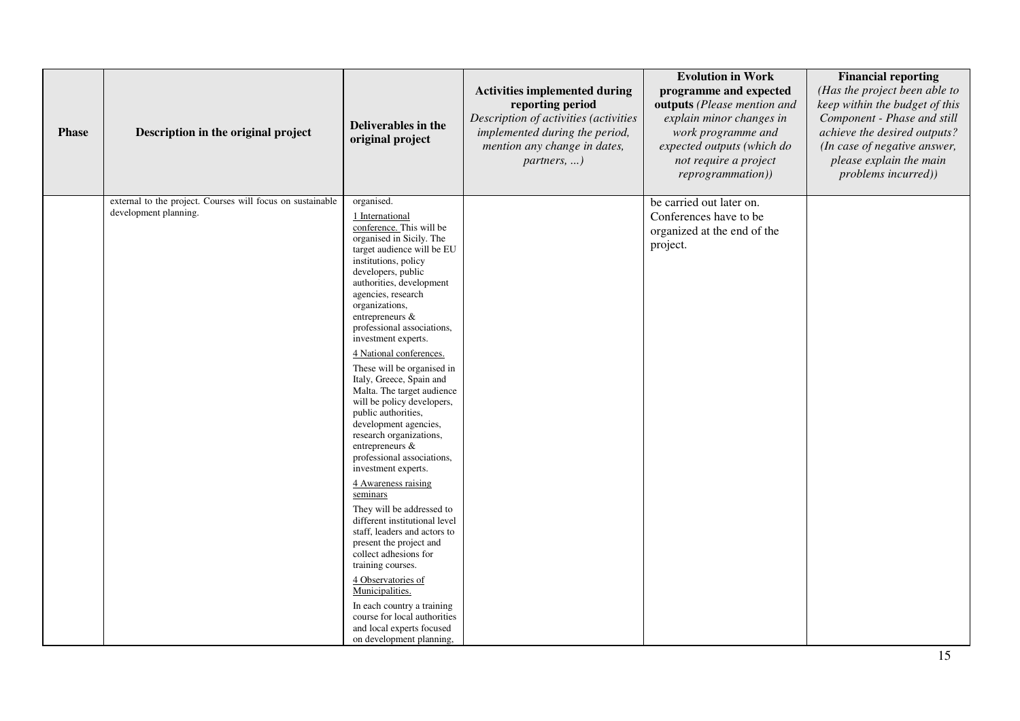| <b>Phase</b> | Description in the original project                                                 | Deliverables in the<br>original project                                                                                                                                                                                                                                                                                                                                                                                                                                                                                                                                                                                                                                                                                                                                                                                                                                                                                                                                                     | <b>Activities implemented during</b><br>reporting period<br>Description of activities (activities<br>implemented during the period,<br>mention any change in dates,<br>partners, ) | <b>Evolution in Work</b><br>programme and expected<br>outputs (Please mention and<br>explain minor changes in<br>work programme and<br>expected outputs (which do<br>not require a project<br><i>reprogrammation</i> )) | <b>Financial reporting</b><br>(Has the project been able to<br>keep within the budget of this<br>Component - Phase and still<br>achieve the desired outputs?<br>(In case of negative answer,<br>please explain the main<br>problems incurred)) |
|--------------|-------------------------------------------------------------------------------------|---------------------------------------------------------------------------------------------------------------------------------------------------------------------------------------------------------------------------------------------------------------------------------------------------------------------------------------------------------------------------------------------------------------------------------------------------------------------------------------------------------------------------------------------------------------------------------------------------------------------------------------------------------------------------------------------------------------------------------------------------------------------------------------------------------------------------------------------------------------------------------------------------------------------------------------------------------------------------------------------|------------------------------------------------------------------------------------------------------------------------------------------------------------------------------------|-------------------------------------------------------------------------------------------------------------------------------------------------------------------------------------------------------------------------|------------------------------------------------------------------------------------------------------------------------------------------------------------------------------------------------------------------------------------------------|
|              | external to the project. Courses will focus on sustainable<br>development planning. | organised.<br>1 International<br>conference. This will be<br>organised in Sicily. The<br>target audience will be EU<br>institutions, policy<br>developers, public<br>authorities, development<br>agencies, research<br>organizations,<br>entrepreneurs &<br>professional associations,<br>investment experts.<br>4 National conferences.<br>These will be organised in<br>Italy, Greece, Spain and<br>Malta. The target audience<br>will be policy developers,<br>public authorities,<br>development agencies,<br>research organizations,<br>entrepreneurs &<br>professional associations,<br>investment experts.<br>4 Awareness raising<br>seminars<br>They will be addressed to<br>different institutional level<br>staff, leaders and actors to<br>present the project and<br>collect adhesions for<br>training courses.<br>4 Observatories of<br>Municipalities.<br>In each country a training<br>course for local authorities<br>and local experts focused<br>on development planning, |                                                                                                                                                                                    | be carried out later on.<br>Conferences have to be<br>organized at the end of the<br>project.                                                                                                                           |                                                                                                                                                                                                                                                |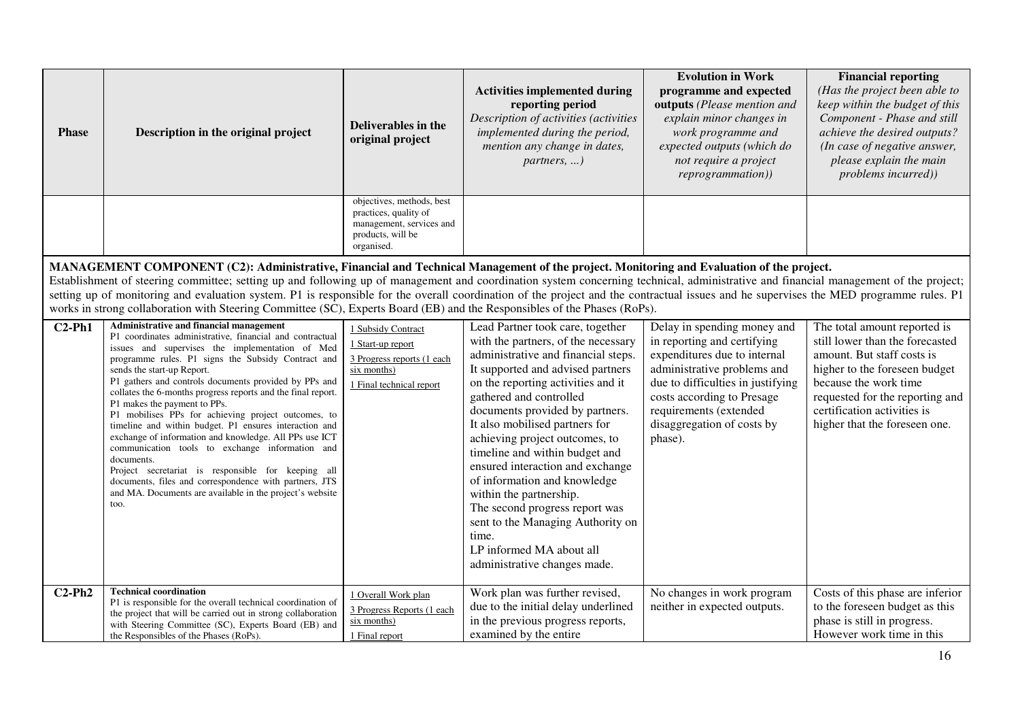| <b>Phase</b> | Description in the original project                                                                                                                                                                                                                                                                                                                                                                                                                                                                                                                                                                                                                                                                                                                                                                                                 | <b>Deliverables in the</b><br>original project                                                                    | <b>Activities implemented during</b><br>reporting period<br>Description of activities (activities<br>implemented during the period,<br>mention any change in dates,                                                                                                                                                                                                                                                                                                                                                                                                                                      | <b>Evolution in Work</b><br>programme and expected<br>outputs (Please mention and<br>explain minor changes in<br>work programme and<br>expected outputs (which do                                                                                               | <b>Financial reporting</b><br>(Has the project been able to<br>keep within the budget of this<br>Component - Phase and still<br>achieve the desired outputs?<br>(In case of negative answer,                                                               |
|--------------|-------------------------------------------------------------------------------------------------------------------------------------------------------------------------------------------------------------------------------------------------------------------------------------------------------------------------------------------------------------------------------------------------------------------------------------------------------------------------------------------------------------------------------------------------------------------------------------------------------------------------------------------------------------------------------------------------------------------------------------------------------------------------------------------------------------------------------------|-------------------------------------------------------------------------------------------------------------------|----------------------------------------------------------------------------------------------------------------------------------------------------------------------------------------------------------------------------------------------------------------------------------------------------------------------------------------------------------------------------------------------------------------------------------------------------------------------------------------------------------------------------------------------------------------------------------------------------------|-----------------------------------------------------------------------------------------------------------------------------------------------------------------------------------------------------------------------------------------------------------------|------------------------------------------------------------------------------------------------------------------------------------------------------------------------------------------------------------------------------------------------------------|
|              |                                                                                                                                                                                                                                                                                                                                                                                                                                                                                                                                                                                                                                                                                                                                                                                                                                     |                                                                                                                   | partners, )                                                                                                                                                                                                                                                                                                                                                                                                                                                                                                                                                                                              | not require a project<br>reprogrammation))                                                                                                                                                                                                                      | please explain the main<br>problems incurred))                                                                                                                                                                                                             |
|              |                                                                                                                                                                                                                                                                                                                                                                                                                                                                                                                                                                                                                                                                                                                                                                                                                                     | objectives, methods, best<br>practices, quality of<br>management, services and<br>products, will be<br>organised. |                                                                                                                                                                                                                                                                                                                                                                                                                                                                                                                                                                                                          |                                                                                                                                                                                                                                                                 |                                                                                                                                                                                                                                                            |
|              | MANAGEMENT COMPONENT (C2): Administrative, Financial and Technical Management of the project. Monitoring and Evaluation of the project.<br>Establishment of steering committee; setting up and following up of management and coordination system concerning technical, administrative and financial management of the project;<br>setting up of monitoring and evaluation system. P1 is responsible for the overall coordination of the project and the contractual issues and he supervises the MED programme rules. P1<br>works in strong collaboration with Steering Committee (SC), Experts Board (EB) and the Responsibles of the Phases (RoPs).                                                                                                                                                                              |                                                                                                                   |                                                                                                                                                                                                                                                                                                                                                                                                                                                                                                                                                                                                          |                                                                                                                                                                                                                                                                 |                                                                                                                                                                                                                                                            |
| $C2-Ph1$     | Administrative and financial management<br>P1 coordinates administrative, financial and contractual<br>issues and supervises the implementation of Med<br>programme rules. P1 signs the Subsidy Contract and<br>sends the start-up Report.<br>P1 gathers and controls documents provided by PPs and<br>collates the 6-months progress reports and the final report.<br>P1 makes the payment to PPs.<br>P1 mobilises PPs for achieving project outcomes, to<br>timeline and within budget. P1 ensures interaction and<br>exchange of information and knowledge. All PPs use ICT<br>communication tools to exchange information and<br>documents.<br>Project secretariat is responsible for keeping all<br>documents, files and correspondence with partners, JTS<br>and MA. Documents are available in the project's website<br>too. | 1 Subsidy Contract<br>1 Start-up report<br>3 Progress reports (1 each<br>six months)<br>1 Final technical report  | Lead Partner took care, together<br>with the partners, of the necessary<br>administrative and financial steps.<br>It supported and advised partners<br>on the reporting activities and it<br>gathered and controlled<br>documents provided by partners.<br>It also mobilised partners for<br>achieving project outcomes, to<br>timeline and within budget and<br>ensured interaction and exchange<br>of information and knowledge<br>within the partnership.<br>The second progress report was<br>sent to the Managing Authority on<br>time.<br>LP informed MA about all<br>administrative changes made. | Delay in spending money and<br>in reporting and certifying<br>expenditures due to internal<br>administrative problems and<br>due to difficulties in justifying<br>costs according to Presage<br>requirements (extended<br>disaggregation of costs by<br>phase). | The total amount reported is<br>still lower than the forecasted<br>amount. But staff costs is<br>higher to the foreseen budget<br>because the work time<br>requested for the reporting and<br>certification activities is<br>higher that the foreseen one. |
| $C2-Ph2$     | <b>Technical coordination</b><br>P1 is responsible for the overall technical coordination of<br>the project that will be carried out in strong collaboration<br>with Steering Committee (SC), Experts Board (EB) and<br>the Responsibles of the Phases (RoPs).                                                                                                                                                                                                                                                                                                                                                                                                                                                                                                                                                                      | 1 Overall Work plan<br>3 Progress Reports (1 each<br>six months)<br>1 Final report                                | Work plan was further revised,<br>due to the initial delay underlined<br>in the previous progress reports,<br>examined by the entire                                                                                                                                                                                                                                                                                                                                                                                                                                                                     | No changes in work program<br>neither in expected outputs.                                                                                                                                                                                                      | Costs of this phase are inferior<br>to the foreseen budget as this<br>phase is still in progress.<br>However work time in this                                                                                                                             |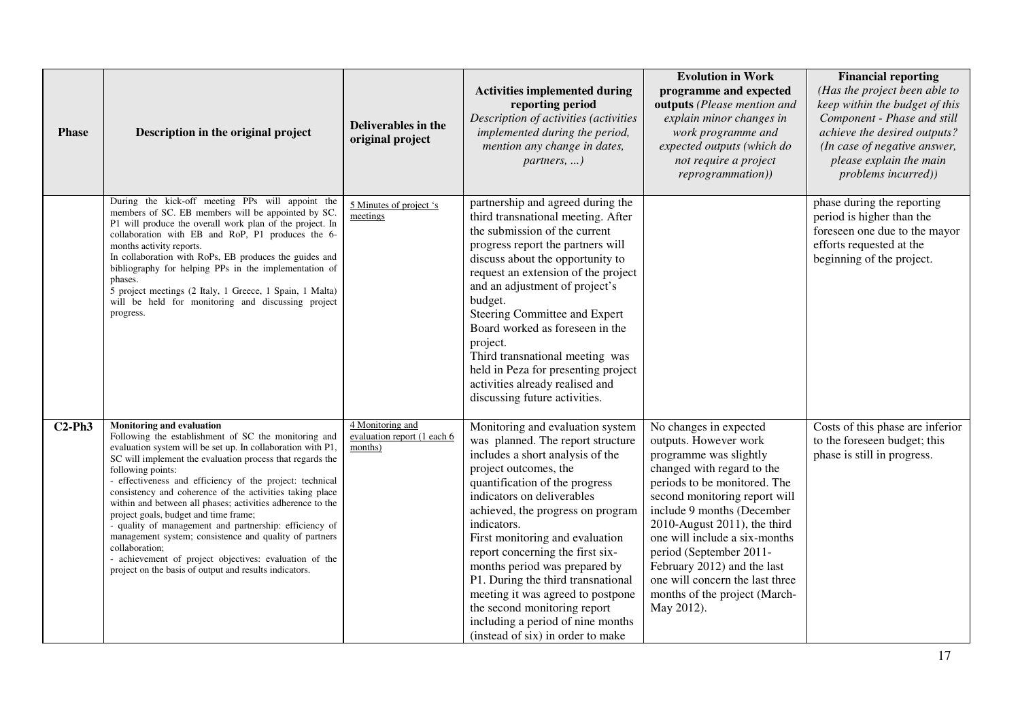| <b>Phase</b> | Description in the original project                                                                                                                                                                                                                                                                                                                                                                                                                                                                                                                                                                                                                                                                                                | Deliverables in the<br>original project                    | <b>Activities implemented during</b><br>reporting period<br>Description of activities (activities<br>implemented during the period,<br>mention any change in dates,<br>partners, )                                                                                                                                                                                                                                                                                                                                                                  | <b>Evolution in Work</b><br>programme and expected<br>outputs (Please mention and<br>explain minor changes in<br>work programme and<br>expected outputs (which do<br>not require a project<br>reprogrammation))                                                                                                                                                                                                     | <b>Financial reporting</b><br>(Has the project been able to<br>keep within the budget of this<br>Component - Phase and still<br>achieve the desired outputs?<br>(In case of negative answer,<br>please explain the main<br>problems incurred)) |
|--------------|------------------------------------------------------------------------------------------------------------------------------------------------------------------------------------------------------------------------------------------------------------------------------------------------------------------------------------------------------------------------------------------------------------------------------------------------------------------------------------------------------------------------------------------------------------------------------------------------------------------------------------------------------------------------------------------------------------------------------------|------------------------------------------------------------|-----------------------------------------------------------------------------------------------------------------------------------------------------------------------------------------------------------------------------------------------------------------------------------------------------------------------------------------------------------------------------------------------------------------------------------------------------------------------------------------------------------------------------------------------------|---------------------------------------------------------------------------------------------------------------------------------------------------------------------------------------------------------------------------------------------------------------------------------------------------------------------------------------------------------------------------------------------------------------------|------------------------------------------------------------------------------------------------------------------------------------------------------------------------------------------------------------------------------------------------|
|              | During the kick-off meeting PPs will appoint the<br>members of SC. EB members will be appointed by SC.<br>P1 will produce the overall work plan of the project. In<br>collaboration with EB and RoP, P1 produces the 6-<br>months activity reports.<br>In collaboration with RoPs, EB produces the guides and<br>bibliography for helping PPs in the implementation of<br>phases.<br>5 project meetings (2 Italy, 1 Greece, 1 Spain, 1 Malta)<br>will be held for monitoring and discussing project<br>progress.                                                                                                                                                                                                                   | 5 Minutes of project 's<br>meetings                        | partnership and agreed during the<br>third transnational meeting. After<br>the submission of the current<br>progress report the partners will<br>discuss about the opportunity to<br>request an extension of the project<br>and an adjustment of project's<br>budget.<br>Steering Committee and Expert<br>Board worked as foreseen in the<br>project.<br>Third transnational meeting was<br>held in Peza for presenting project<br>activities already realised and<br>discussing future activities.                                                 |                                                                                                                                                                                                                                                                                                                                                                                                                     | phase during the reporting<br>period is higher than the<br>foreseen one due to the mayor<br>efforts requested at the<br>beginning of the project.                                                                                              |
| $C2-Ph3$     | <b>Monitoring and evaluation</b><br>Following the establishment of SC the monitoring and<br>evaluation system will be set up. In collaboration with P1,<br>SC will implement the evaluation process that regards the<br>following points:<br>- effectiveness and efficiency of the project: technical<br>consistency and coherence of the activities taking place<br>within and between all phases; activities adherence to the<br>project goals, budget and time frame;<br>- quality of management and partnership: efficiency of<br>management system; consistence and quality of partners<br>collaboration;<br>- achievement of project objectives: evaluation of the<br>project on the basis of output and results indicators. | 4 Monitoring and<br>evaluation report (1 each 6<br>months) | Monitoring and evaluation system<br>was planned. The report structure<br>includes a short analysis of the<br>project outcomes, the<br>quantification of the progress<br>indicators on deliverables<br>achieved, the progress on program<br>indicators.<br>First monitoring and evaluation<br>report concerning the first six-<br>months period was prepared by<br>P1. During the third transnational<br>meeting it was agreed to postpone<br>the second monitoring report<br>including a period of nine months<br>(instead of six) in order to make | No changes in expected<br>outputs. However work<br>programme was slightly<br>changed with regard to the<br>periods to be monitored. The<br>second monitoring report will<br>include 9 months (December<br>2010-August 2011), the third<br>one will include a six-months<br>period (September 2011-<br>February 2012) and the last<br>one will concern the last three<br>months of the project (March-<br>May 2012). | Costs of this phase are inferior<br>to the foreseen budget; this<br>phase is still in progress.                                                                                                                                                |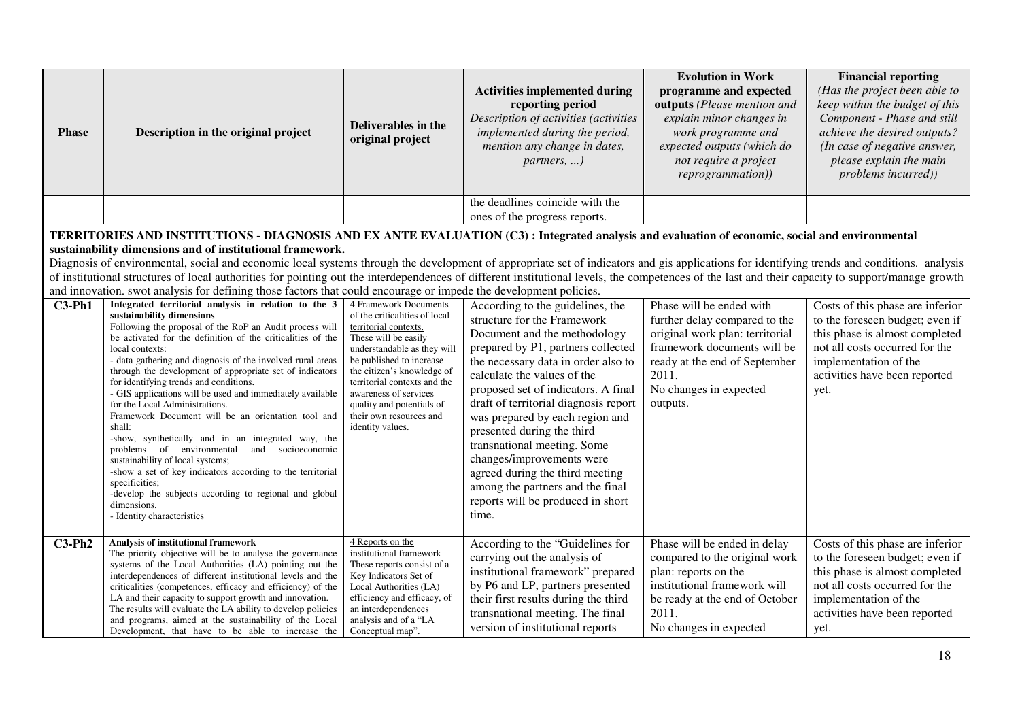| <b>Phase</b>                                                                                                                                                                                                                                                                                                                                                                                                                                                                                                                                                                                                                                                                                                                          | Description in the original project                                                                                                                                                                                                                                                                                                                                                                                                                                                                                                                                                                                                                                                                                                                                                                                                                                                               | Deliverables in the<br>original project                                                                                                                                                                                                                                                                                               | <b>Activities implemented during</b><br>reporting period<br>Description of activities (activities<br>implemented during the period,<br>mention any change in dates,<br>$partners, \ldots)$                                                                                                                                                                                                                                                                                                                                                    | <b>Evolution in Work</b><br>programme and expected<br>outputs (Please mention and<br>explain minor changes in<br>work programme and<br>expected outputs (which do<br>not require a project<br>reprogrammation)) | <b>Financial reporting</b><br>(Has the project been able to<br>keep within the budget of this<br>Component - Phase and still<br>achieve the desired outputs?<br>(In case of negative answer,<br>please explain the main<br>problems incurred)) |  |  |
|---------------------------------------------------------------------------------------------------------------------------------------------------------------------------------------------------------------------------------------------------------------------------------------------------------------------------------------------------------------------------------------------------------------------------------------------------------------------------------------------------------------------------------------------------------------------------------------------------------------------------------------------------------------------------------------------------------------------------------------|---------------------------------------------------------------------------------------------------------------------------------------------------------------------------------------------------------------------------------------------------------------------------------------------------------------------------------------------------------------------------------------------------------------------------------------------------------------------------------------------------------------------------------------------------------------------------------------------------------------------------------------------------------------------------------------------------------------------------------------------------------------------------------------------------------------------------------------------------------------------------------------------------|---------------------------------------------------------------------------------------------------------------------------------------------------------------------------------------------------------------------------------------------------------------------------------------------------------------------------------------|-----------------------------------------------------------------------------------------------------------------------------------------------------------------------------------------------------------------------------------------------------------------------------------------------------------------------------------------------------------------------------------------------------------------------------------------------------------------------------------------------------------------------------------------------|-----------------------------------------------------------------------------------------------------------------------------------------------------------------------------------------------------------------|------------------------------------------------------------------------------------------------------------------------------------------------------------------------------------------------------------------------------------------------|--|--|
|                                                                                                                                                                                                                                                                                                                                                                                                                                                                                                                                                                                                                                                                                                                                       |                                                                                                                                                                                                                                                                                                                                                                                                                                                                                                                                                                                                                                                                                                                                                                                                                                                                                                   |                                                                                                                                                                                                                                                                                                                                       | the deadlines coincide with the<br>ones of the progress reports.                                                                                                                                                                                                                                                                                                                                                                                                                                                                              |                                                                                                                                                                                                                 |                                                                                                                                                                                                                                                |  |  |
| TERRITORIES AND INSTITUTIONS - DIAGNOSIS AND EX ANTE EVALUATION (C3) : Integrated analysis and evaluation of economic, social and environmental<br>sustainability dimensions and of institutional framework.<br>Diagnosis of environmental, social and economic local systems through the development of appropriate set of indicators and gis applications for identifying trends and conditions. analysis<br>of institutional structures of local authorities for pointing out the interdependences of different institutional levels, the competences of the last and their capacity to support/manage growth<br>and innovation. swot analysis for defining those factors that could encourage or impede the development policies. |                                                                                                                                                                                                                                                                                                                                                                                                                                                                                                                                                                                                                                                                                                                                                                                                                                                                                                   |                                                                                                                                                                                                                                                                                                                                       |                                                                                                                                                                                                                                                                                                                                                                                                                                                                                                                                               |                                                                                                                                                                                                                 |                                                                                                                                                                                                                                                |  |  |
| $C3-Ph1$                                                                                                                                                                                                                                                                                                                                                                                                                                                                                                                                                                                                                                                                                                                              | Integrated territorial analysis in relation to the 3<br>sustainability dimensions<br>Following the proposal of the RoP an Audit process will<br>be activated for the definition of the criticalities of the<br>local contexts:<br>- data gathering and diagnosis of the involved rural areas<br>through the development of appropriate set of indicators<br>for identifying trends and conditions.<br>- GIS applications will be used and immediately available<br>for the Local Administrations.<br>Framework Document will be an orientation tool and<br>shall:<br>-show, synthetically and in an integrated way, the<br>problems of environmental and socioeconomic<br>sustainability of local systems;<br>-show a set of key indicators according to the territorial<br>specificities;<br>-develop the subjects according to regional and global<br>dimensions.<br>- Identity characteristics | 4 Framework Documents<br>of the criticalities of local<br>territorial contexts.<br>These will be easily<br>understandable as they will<br>be published to increase<br>the citizen's knowledge of<br>territorial contexts and the<br>awareness of services<br>quality and potentials of<br>their own resources and<br>identity values. | According to the guidelines, the<br>structure for the Framework<br>Document and the methodology<br>prepared by P1, partners collected<br>the necessary data in order also to<br>calculate the values of the<br>proposed set of indicators. A final<br>draft of territorial diagnosis report<br>was prepared by each region and<br>presented during the third<br>transnational meeting. Some<br>changes/improvements were<br>agreed during the third meeting<br>among the partners and the final<br>reports will be produced in short<br>time. | Phase will be ended with<br>further delay compared to the<br>original work plan: territorial<br>framework documents will be<br>ready at the end of September<br>2011.<br>No changes in expected<br>outputs.     | Costs of this phase are inferior<br>to the foreseen budget; even if<br>this phase is almost completed<br>not all costs occurred for the<br>implementation of the<br>activities have been reported<br>yet.                                      |  |  |
| $C3-Ph2$                                                                                                                                                                                                                                                                                                                                                                                                                                                                                                                                                                                                                                                                                                                              | <b>Analysis of institutional framework</b><br>The priority objective will be to analyse the governance<br>systems of the Local Authorities (LA) pointing out the<br>interdependences of different institutional levels and the<br>criticalities (competences, efficacy and efficiency) of the<br>LA and their capacity to support growth and innovation.<br>The results will evaluate the LA ability to develop policies<br>and programs, aimed at the sustainability of the Local<br>Development, that have to be able to increase the                                                                                                                                                                                                                                                                                                                                                           | 4 Reports on the<br>institutional framework<br>These reports consist of a<br>Key Indicators Set of<br>Local Authorities (LA)<br>efficiency and efficacy, of<br>an interdependences<br>analysis and of a "LA<br>Conceptual map".                                                                                                       | According to the "Guidelines for<br>carrying out the analysis of<br>institutional framework" prepared<br>by P6 and LP, partners presented<br>their first results during the third<br>transnational meeting. The final<br>version of institutional reports                                                                                                                                                                                                                                                                                     | Phase will be ended in delay<br>compared to the original work<br>plan: reports on the<br>institutional framework will<br>be ready at the end of October<br>2011.<br>No changes in expected                      | Costs of this phase are inferior<br>to the foreseen budget; even if<br>this phase is almost completed<br>not all costs occurred for the<br>implementation of the<br>activities have been reported<br>yet.                                      |  |  |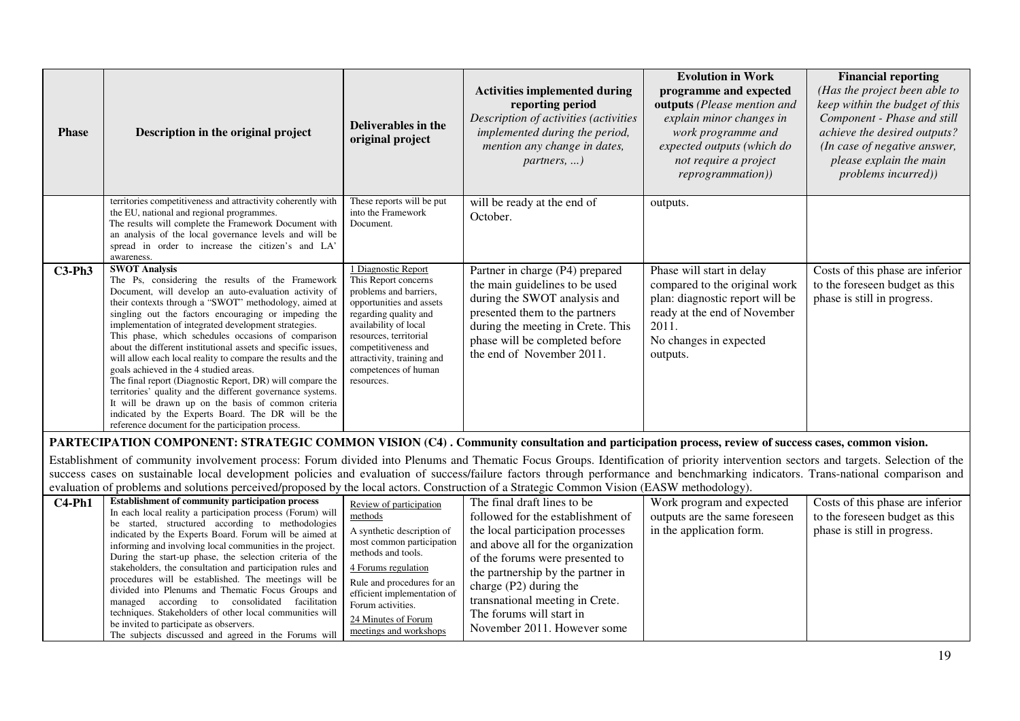| Phase    | Description in the original project                                                                                                                                                                                                                                                                                                                                                                                                                                                                                                                                                                                                                                                                                                                                                                                                       | Deliverables in the<br>original project                                                                                                                                                                                                                                       | <b>Activities implemented during</b><br>reporting period<br>Description of activities (activities<br>implemented during the period,<br>mention any change in dates,<br>partners, )                                                                                                                                                            | <b>Evolution in Work</b><br>programme and expected<br>outputs (Please mention and<br>explain minor changes in<br>work programme and<br>expected outputs (which do<br>not require a project<br>reprogrammation)) | <b>Financial reporting</b><br>(Has the project been able to<br>keep within the budget of this<br>Component - Phase and still<br>achieve the desired outputs?<br>(In case of negative answer,<br>please explain the main<br>problems incurred)) |
|----------|-------------------------------------------------------------------------------------------------------------------------------------------------------------------------------------------------------------------------------------------------------------------------------------------------------------------------------------------------------------------------------------------------------------------------------------------------------------------------------------------------------------------------------------------------------------------------------------------------------------------------------------------------------------------------------------------------------------------------------------------------------------------------------------------------------------------------------------------|-------------------------------------------------------------------------------------------------------------------------------------------------------------------------------------------------------------------------------------------------------------------------------|-----------------------------------------------------------------------------------------------------------------------------------------------------------------------------------------------------------------------------------------------------------------------------------------------------------------------------------------------|-----------------------------------------------------------------------------------------------------------------------------------------------------------------------------------------------------------------|------------------------------------------------------------------------------------------------------------------------------------------------------------------------------------------------------------------------------------------------|
|          | territories competitiveness and attractivity coherently with<br>the EU, national and regional programmes.<br>The results will complete the Framework Document with<br>an analysis of the local governance levels and will be<br>spread in order to increase the citizen's and LA'<br>awareness.                                                                                                                                                                                                                                                                                                                                                                                                                                                                                                                                           | These reports will be put<br>into the Framework<br>Document.                                                                                                                                                                                                                  | will be ready at the end of<br>October.                                                                                                                                                                                                                                                                                                       | outputs.                                                                                                                                                                                                        |                                                                                                                                                                                                                                                |
| $C3-Ph3$ | <b>SWOT Analysis</b><br>The Ps, considering the results of the Framework<br>Document, will develop an auto-evaluation activity of<br>their contexts through a "SWOT" methodology, aimed at<br>singling out the factors encouraging or impeding the<br>implementation of integrated development strategies.<br>This phase, which schedules occasions of comparison<br>about the different institutional assets and specific issues,<br>will allow each local reality to compare the results and the<br>goals achieved in the 4 studied areas.<br>The final report (Diagnostic Report, DR) will compare the<br>territories' quality and the different governance systems.<br>It will be drawn up on the basis of common criteria<br>indicated by the Experts Board. The DR will be the<br>reference document for the participation process. | 1 Diagnostic Report<br>This Report concerns<br>problems and barriers,<br>opportunities and assets<br>regarding quality and<br>availability of local<br>resources, territorial<br>competitiveness and<br>attractivity, training and<br>competences of human<br>resources.      | Partner in charge (P4) prepared<br>the main guidelines to be used<br>during the SWOT analysis and<br>presented them to the partners<br>during the meeting in Crete. This<br>phase will be completed before<br>the end of November 2011.                                                                                                       | Phase will start in delay<br>compared to the original work<br>plan: diagnostic report will be<br>ready at the end of November<br>2011.<br>No changes in expected<br>outputs.                                    | Costs of this phase are inferior<br>to the foreseen budget as this<br>phase is still in progress.                                                                                                                                              |
|          | PARTECIPATION COMPONENT: STRATEGIC COMMON VISION (C4). Community consultation and participation process, review of success cases, common vision.                                                                                                                                                                                                                                                                                                                                                                                                                                                                                                                                                                                                                                                                                          |                                                                                                                                                                                                                                                                               |                                                                                                                                                                                                                                                                                                                                               |                                                                                                                                                                                                                 |                                                                                                                                                                                                                                                |
|          | Establishment of community involvement process: Forum divided into Plenums and Thematic Focus Groups. Identification of priority intervention sectors and targets. Selection of the                                                                                                                                                                                                                                                                                                                                                                                                                                                                                                                                                                                                                                                       |                                                                                                                                                                                                                                                                               |                                                                                                                                                                                                                                                                                                                                               |                                                                                                                                                                                                                 |                                                                                                                                                                                                                                                |
|          | success cases on sustainable local development policies and evaluation of success/failure factors through performance and benchmarking indicators. Trans-national comparison and                                                                                                                                                                                                                                                                                                                                                                                                                                                                                                                                                                                                                                                          |                                                                                                                                                                                                                                                                               |                                                                                                                                                                                                                                                                                                                                               |                                                                                                                                                                                                                 |                                                                                                                                                                                                                                                |
|          | evaluation of problems and solutions perceived/proposed by the local actors. Construction of a Strategic Common Vision (EASW methodology).                                                                                                                                                                                                                                                                                                                                                                                                                                                                                                                                                                                                                                                                                                |                                                                                                                                                                                                                                                                               |                                                                                                                                                                                                                                                                                                                                               |                                                                                                                                                                                                                 |                                                                                                                                                                                                                                                |
| $C4-Ph1$ | <b>Establishment of community participation process</b><br>In each local reality a participation process (Forum) will<br>be started, structured according to methodologies<br>indicated by the Experts Board. Forum will be aimed at<br>informing and involving local communities in the project.<br>During the start-up phase, the selection criteria of the<br>stakeholders, the consultation and participation rules and<br>procedures will be established. The meetings will be<br>divided into Plenums and Thematic Focus Groups and<br>managed according to consolidated facilitation<br>techniques. Stakeholders of other local communities will<br>be invited to participate as observers.<br>The subjects discussed and agreed in the Forums will                                                                                | Review of participation<br>methods<br>A synthetic description of<br>most common participation<br>methods and tools.<br>4 Forums regulation<br>Rule and procedures for an<br>efficient implementation of<br>Forum activities.<br>24 Minutes of Forum<br>meetings and workshops | The final draft lines to be<br>followed for the establishment of<br>the local participation processes<br>and above all for the organization<br>of the forums were presented to<br>the partnership by the partner in<br>charge $(P2)$ during the<br>transnational meeting in Crete.<br>The forums will start in<br>November 2011. However some | Work program and expected<br>outputs are the same foreseen<br>in the application form.                                                                                                                          | Costs of this phase are inferior<br>to the foreseen budget as this<br>phase is still in progress.                                                                                                                                              |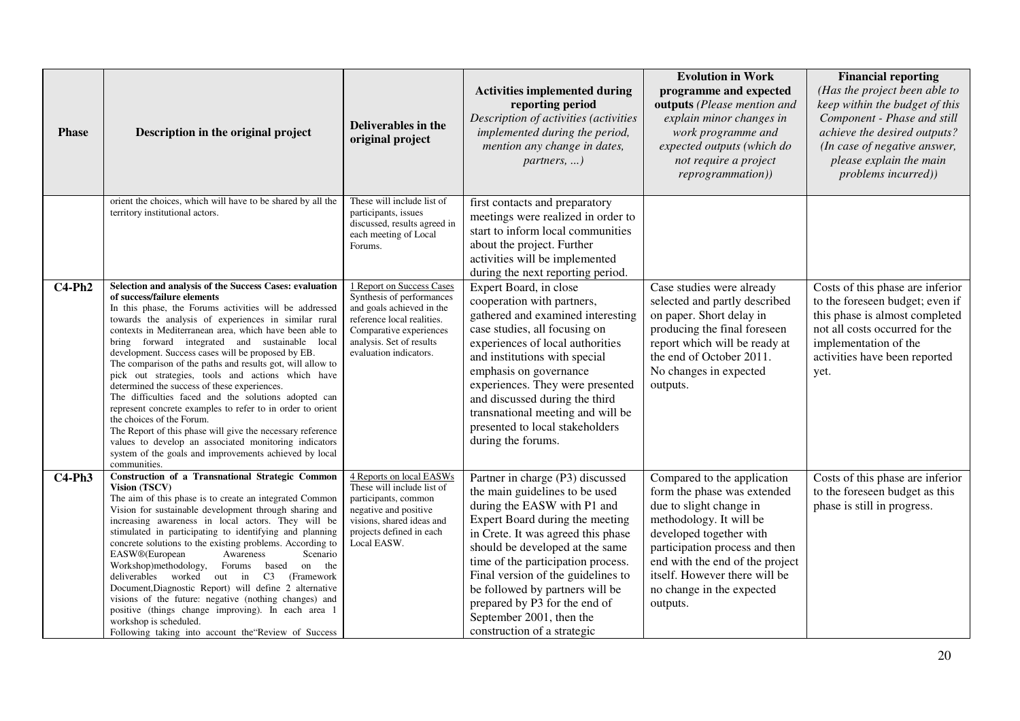| <b>Phase</b> | Description in the original project                                                                                                                                                                                                                                                                                                                                                                                                                                                                                                                                                                                                                                                                                                                                    | Deliverables in the<br>original project                                                                                                                                                                                                                                                                                      | <b>Activities implemented during</b><br>reporting period<br>Description of activities (activities<br>implemented during the period,<br>mention any change in dates,<br>partners, )                                                                                                                                                                                                                                                                                                                                                                     | <b>Evolution in Work</b><br>programme and expected<br>outputs (Please mention and<br>explain minor changes in<br>work programme and<br>expected outputs (which do<br>not require a project<br>reprogrammation))                                                                            | <b>Financial reporting</b><br>(Has the project been able to<br>keep within the budget of this<br>Component - Phase and still<br>achieve the desired outputs?<br>(In case of negative answer,<br>please explain the main<br>problems incurred)) |
|--------------|------------------------------------------------------------------------------------------------------------------------------------------------------------------------------------------------------------------------------------------------------------------------------------------------------------------------------------------------------------------------------------------------------------------------------------------------------------------------------------------------------------------------------------------------------------------------------------------------------------------------------------------------------------------------------------------------------------------------------------------------------------------------|------------------------------------------------------------------------------------------------------------------------------------------------------------------------------------------------------------------------------------------------------------------------------------------------------------------------------|--------------------------------------------------------------------------------------------------------------------------------------------------------------------------------------------------------------------------------------------------------------------------------------------------------------------------------------------------------------------------------------------------------------------------------------------------------------------------------------------------------------------------------------------------------|--------------------------------------------------------------------------------------------------------------------------------------------------------------------------------------------------------------------------------------------------------------------------------------------|------------------------------------------------------------------------------------------------------------------------------------------------------------------------------------------------------------------------------------------------|
| $C4-Ph2$     | orient the choices, which will have to be shared by all the<br>territory institutional actors.<br>Selection and analysis of the Success Cases: evaluation<br>of success/failure elements<br>In this phase, the Forums activities will be addressed<br>towards the analysis of experiences in similar rural<br>contexts in Mediterranean area, which have been able to<br>bring forward integrated and sustainable local<br>development. Success cases will be proposed by EB.<br>The comparison of the paths and results got, will allow to<br>pick out strategies, tools and actions which have<br>determined the success of these experiences.<br>The difficulties faced and the solutions adopted can<br>represent concrete examples to refer to in order to orient | These will include list of<br>participants, issues<br>discussed, results agreed in<br>each meeting of Local<br>Forums.<br>1 Report on Success Cases<br>Synthesis of performances<br>and goals achieved in the<br>reference local realities.<br>Comparative experiences<br>analysis. Set of results<br>evaluation indicators. | first contacts and preparatory<br>meetings were realized in order to<br>start to inform local communities<br>about the project. Further<br>activities will be implemented<br>during the next reporting period.<br>Expert Board, in close<br>cooperation with partners,<br>gathered and examined interesting<br>case studies, all focusing on<br>experiences of local authorities<br>and institutions with special<br>emphasis on governance<br>experiences. They were presented<br>and discussed during the third<br>transnational meeting and will be | Case studies were already<br>selected and partly described<br>on paper. Short delay in<br>producing the final foreseen<br>report which will be ready at<br>the end of October 2011.<br>No changes in expected<br>outputs.                                                                  | Costs of this phase are inferior<br>to the foreseen budget; even if<br>this phase is almost completed<br>not all costs occurred for the<br>implementation of the<br>activities have been reported<br>yet.                                      |
|              | the choices of the Forum.<br>The Report of this phase will give the necessary reference<br>values to develop an associated monitoring indicators<br>system of the goals and improvements achieved by local<br>communities.<br>Construction of a Transnational Strategic Common                                                                                                                                                                                                                                                                                                                                                                                                                                                                                         | 4 Reports on local EASWs                                                                                                                                                                                                                                                                                                     | presented to local stakeholders<br>during the forums.                                                                                                                                                                                                                                                                                                                                                                                                                                                                                                  |                                                                                                                                                                                                                                                                                            |                                                                                                                                                                                                                                                |
| $C4-Ph3$     | <b>Vision (TSCV)</b><br>The aim of this phase is to create an integrated Common<br>Vision for sustainable development through sharing and<br>increasing awareness in local actors. They will be<br>stimulated in participating to identifying and planning<br>concrete solutions to the existing problems. According to<br>EASW <sup>®</sup> (European<br>Scenario<br>Awareness<br>Workshop)methodology, Forums based<br>on the<br>deliverables worked out in<br>C <sub>3</sub><br>(Framework)<br>Document, Diagnostic Report) will define 2 alternative<br>visions of the future: negative (nothing changes) and<br>positive (things change improving). In each area 1<br>workshop is scheduled.<br>Following taking into account the Review of Success               | These will include list of<br>participants, common<br>negative and positive<br>visions, shared ideas and<br>projects defined in each<br>Local EASW.                                                                                                                                                                          | Partner in charge (P3) discussed<br>the main guidelines to be used<br>during the EASW with P1 and<br>Expert Board during the meeting<br>in Crete. It was agreed this phase<br>should be developed at the same<br>time of the participation process.<br>Final version of the guidelines to<br>be followed by partners will be<br>prepared by P3 for the end of<br>September 2001, then the<br>construction of a strategic                                                                                                                               | Compared to the application<br>form the phase was extended<br>due to slight change in<br>methodology. It will be<br>developed together with<br>participation process and then<br>end with the end of the project<br>itself. However there will be<br>no change in the expected<br>outputs. | Costs of this phase are inferior<br>to the foreseen budget as this<br>phase is still in progress.                                                                                                                                              |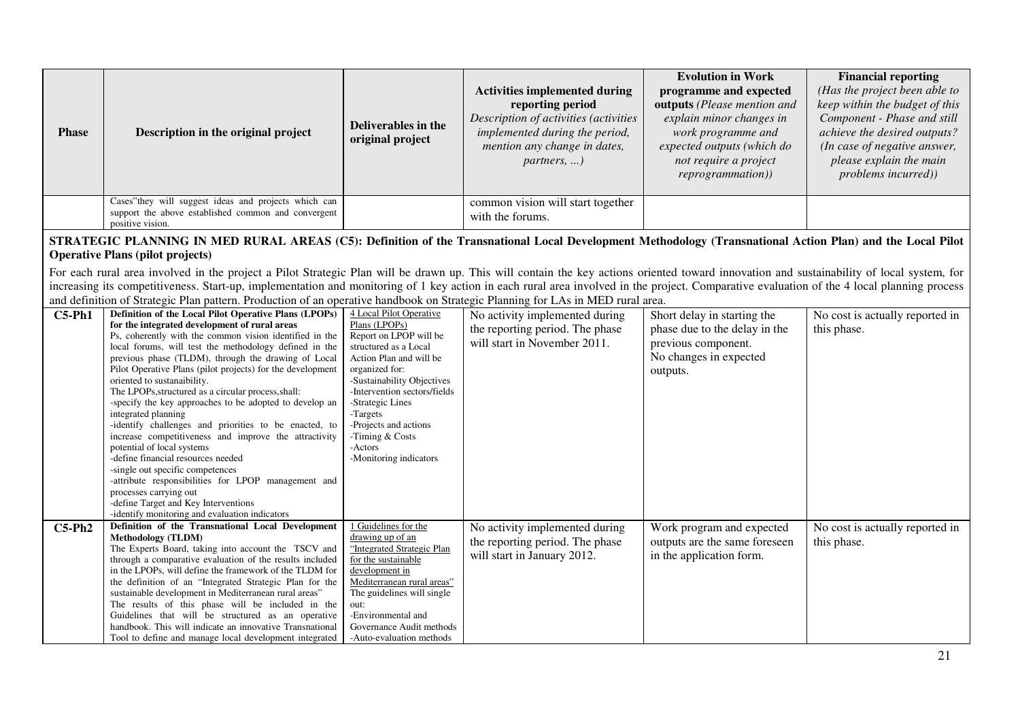| <b>Phase</b> | Description in the original project                                                                                                                                                                                                                                                                                                                                                                                                                                                                                                                                                                                                                                                                                                                                                                                                                                                                                           | <b>Deliverables in the</b><br>original project                                                                                                                                                                                                                                                                          | <b>Activities implemented during</b><br>reporting period<br>Description of activities (activities<br>implemented during the period,<br>mention any change in dates,<br>$partners, \ldots)$ | <b>Evolution in Work</b><br>programme and expected<br>outputs (Please mention and<br>explain minor changes in<br>work programme and<br>expected outputs (which do<br>not require a project<br>reprogrammation)) | <b>Financial reporting</b><br>(Has the project been able to<br>keep within the budget of this<br>Component - Phase and still<br>achieve the desired outputs?<br>(In case of negative answer,<br>please explain the main<br>problems incurred)) |
|--------------|-------------------------------------------------------------------------------------------------------------------------------------------------------------------------------------------------------------------------------------------------------------------------------------------------------------------------------------------------------------------------------------------------------------------------------------------------------------------------------------------------------------------------------------------------------------------------------------------------------------------------------------------------------------------------------------------------------------------------------------------------------------------------------------------------------------------------------------------------------------------------------------------------------------------------------|-------------------------------------------------------------------------------------------------------------------------------------------------------------------------------------------------------------------------------------------------------------------------------------------------------------------------|--------------------------------------------------------------------------------------------------------------------------------------------------------------------------------------------|-----------------------------------------------------------------------------------------------------------------------------------------------------------------------------------------------------------------|------------------------------------------------------------------------------------------------------------------------------------------------------------------------------------------------------------------------------------------------|
|              | Cases"they will suggest ideas and projects which can<br>support the above established common and convergent<br>positive vision.                                                                                                                                                                                                                                                                                                                                                                                                                                                                                                                                                                                                                                                                                                                                                                                               |                                                                                                                                                                                                                                                                                                                         | common vision will start together<br>with the forums.                                                                                                                                      |                                                                                                                                                                                                                 |                                                                                                                                                                                                                                                |
|              | STRATEGIC PLANNING IN MED RURAL AREAS (C5): Definition of the Transnational Local Development Methodology (Transnational Action Plan) and the Local Pilot<br><b>Operative Plans (pilot projects)</b>                                                                                                                                                                                                                                                                                                                                                                                                                                                                                                                                                                                                                                                                                                                          |                                                                                                                                                                                                                                                                                                                         |                                                                                                                                                                                            |                                                                                                                                                                                                                 |                                                                                                                                                                                                                                                |
|              | For each rural area involved in the project a Pilot Strategic Plan will be drawn up. This will contain the key actions oriented toward innovation and sustainability of local system, for<br>increasing its competitiveness. Start-up, implementation and monitoring of 1 key action in each rural area involved in the project. Comparative evaluation of the 4 local planning process<br>and definition of Strategic Plan pattern. Production of an operative handbook on Strategic Planning for LAs in MED rural area.                                                                                                                                                                                                                                                                                                                                                                                                     |                                                                                                                                                                                                                                                                                                                         |                                                                                                                                                                                            |                                                                                                                                                                                                                 |                                                                                                                                                                                                                                                |
| $C5-Ph1$     | Definition of the Local Pilot Operative Plans (LPOPs)<br>for the integrated development of rural areas<br>Ps, coherently with the common vision identified in the<br>local forums, will test the methodology defined in the<br>previous phase (TLDM), through the drawing of Local<br>Pilot Operative Plans (pilot projects) for the development<br>oriented to sustanaibility.<br>The LPOPs, structured as a circular process, shall:<br>-specify the key approaches to be adopted to develop an<br>integrated planning<br>-identify challenges and priorities to be enacted, to<br>increase competitiveness and improve the attractivity<br>potential of local systems<br>-define financial resources needed<br>-single out specific competences<br>-attribute responsibilities for LPOP management and<br>processes carrying out<br>-define Target and Key Interventions<br>-identify monitoring and evaluation indicators | 4 Local Pilot Operative<br>Plans (LPOPs)<br>Report on LPOP will be<br>structured as a Local<br>Action Plan and will be<br>organized for:<br>-Sustainability Objectives<br>-Intervention sectors/fields<br>-Strategic Lines<br>-Targets<br>-Projects and actions<br>-Timing & Costs<br>-Actors<br>-Monitoring indicators | No activity implemented during<br>the reporting period. The phase<br>will start in November 2011.                                                                                          | Short delay in starting the<br>phase due to the delay in the<br>previous component.<br>No changes in expected<br>outputs.                                                                                       | No cost is actually reported in<br>this phase.                                                                                                                                                                                                 |
| $C5-Ph2$     | Definition of the Transnational Local Development<br><b>Methodology (TLDM)</b><br>The Experts Board, taking into account the TSCV and<br>through a comparative evaluation of the results included<br>in the LPOPs, will define the framework of the TLDM for<br>the definition of an "Integrated Strategic Plan for the<br>sustainable development in Mediterranean rural areas"<br>The results of this phase will be included in the<br>Guidelines that will be structured as an operative<br>handbook. This will indicate an innovative Transnational<br>Tool to define and manage local development integrated                                                                                                                                                                                                                                                                                                             | 1 Guidelines for the<br>drawing up of an<br>"Integrated Strategic Plan<br>for the sustainable<br>development in<br>Mediterranean rural areas"<br>The guidelines will single<br>out:<br>-Environmental and<br>Governance Audit methods<br>-Auto-evaluation methods                                                       | No activity implemented during<br>the reporting period. The phase<br>will start in January 2012.                                                                                           | Work program and expected<br>outputs are the same foreseen<br>in the application form.                                                                                                                          | No cost is actually reported in<br>this phase.                                                                                                                                                                                                 |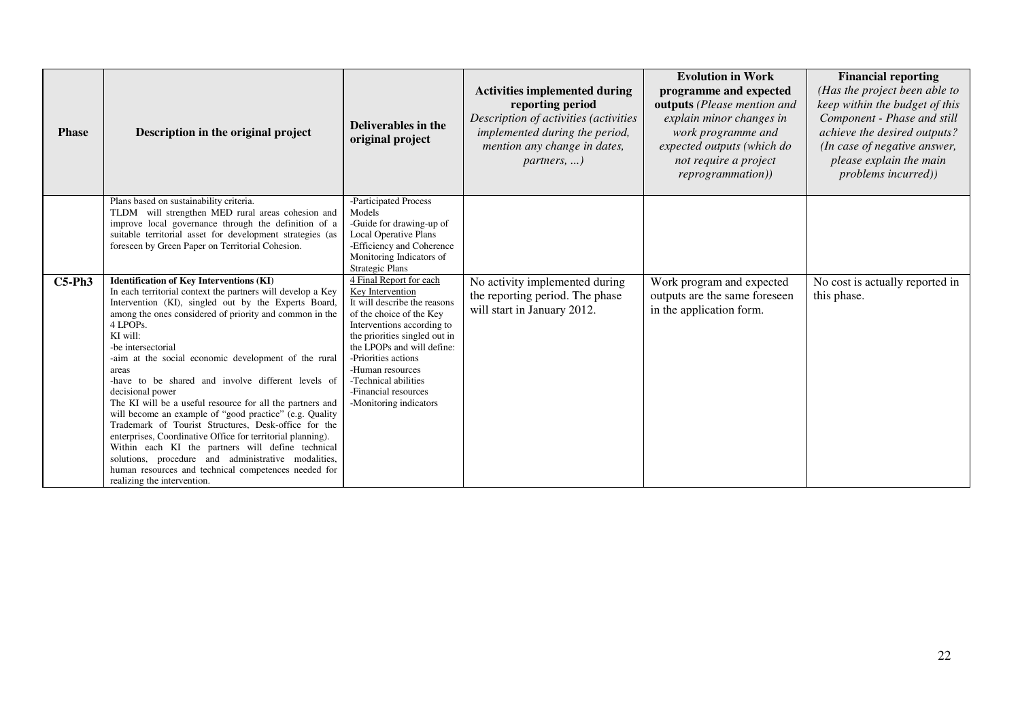| <b>Phase</b> | Description in the original project                                                                                                                                                                                                                                                                                                                                                                                                                                                                                                                                                                                                                                                                                                                                                                                                                                          | Deliverables in the<br>original project                                                                                                                                                                                                                                                                                   | <b>Activities implemented during</b><br>reporting period<br>Description of activities (activities<br>implemented during the period,<br>mention any change in dates,<br>$partners, \ldots)$ | <b>Evolution in Work</b><br>programme and expected<br>outputs (Please mention and<br>explain minor changes in<br>work programme and<br>expected outputs (which do<br>not require a project<br>reprogrammation)) | <b>Financial reporting</b><br>(Has the project been able to<br>keep within the budget of this<br>Component - Phase and still<br>achieve the desired outputs?<br>(In case of negative answer,<br>please explain the main<br><i>problems incurred))</i> |
|--------------|------------------------------------------------------------------------------------------------------------------------------------------------------------------------------------------------------------------------------------------------------------------------------------------------------------------------------------------------------------------------------------------------------------------------------------------------------------------------------------------------------------------------------------------------------------------------------------------------------------------------------------------------------------------------------------------------------------------------------------------------------------------------------------------------------------------------------------------------------------------------------|---------------------------------------------------------------------------------------------------------------------------------------------------------------------------------------------------------------------------------------------------------------------------------------------------------------------------|--------------------------------------------------------------------------------------------------------------------------------------------------------------------------------------------|-----------------------------------------------------------------------------------------------------------------------------------------------------------------------------------------------------------------|-------------------------------------------------------------------------------------------------------------------------------------------------------------------------------------------------------------------------------------------------------|
|              | Plans based on sustainability criteria.<br>TLDM will strengthen MED rural areas cohesion and<br>improve local governance through the definition of a<br>suitable territorial asset for development strategies (as<br>foreseen by Green Paper on Territorial Cohesion.                                                                                                                                                                                                                                                                                                                                                                                                                                                                                                                                                                                                        | -Participated Process<br>Models<br>-Guide for drawing-up of<br><b>Local Operative Plans</b><br>-Efficiency and Coherence<br>Monitoring Indicators of<br><b>Strategic Plans</b>                                                                                                                                            |                                                                                                                                                                                            |                                                                                                                                                                                                                 |                                                                                                                                                                                                                                                       |
| $C5-Ph3$     | <b>Identification of Key Interventions (KI)</b><br>In each territorial context the partners will develop a Key<br>Intervention (KI), singled out by the Experts Board,<br>among the ones considered of priority and common in the<br>4 LPOPs.<br>KI will:<br>-be intersectorial<br>-aim at the social economic development of the rural<br>areas<br>-have to be shared and involve different levels of<br>decisional power<br>The KI will be a useful resource for all the partners and<br>will become an example of "good practice" (e.g. Quality<br>Trademark of Tourist Structures, Desk-office for the<br>enterprises, Coordinative Office for territorial planning).<br>Within each KI the partners will define technical<br>solutions, procedure and administrative modalities,<br>human resources and technical competences needed for<br>realizing the intervention. | 4 Final Report for each<br>Key Intervention<br>It will describe the reasons<br>of the choice of the Key<br>Interventions according to<br>the priorities singled out in<br>the LPOPs and will define:<br>-Priorities actions<br>-Human resources<br>-Technical abilities<br>-Financial resources<br>-Monitoring indicators | No activity implemented during<br>the reporting period. The phase<br>will start in January 2012.                                                                                           | Work program and expected<br>outputs are the same foreseen<br>in the application form.                                                                                                                          | No cost is actually reported in<br>this phase.                                                                                                                                                                                                        |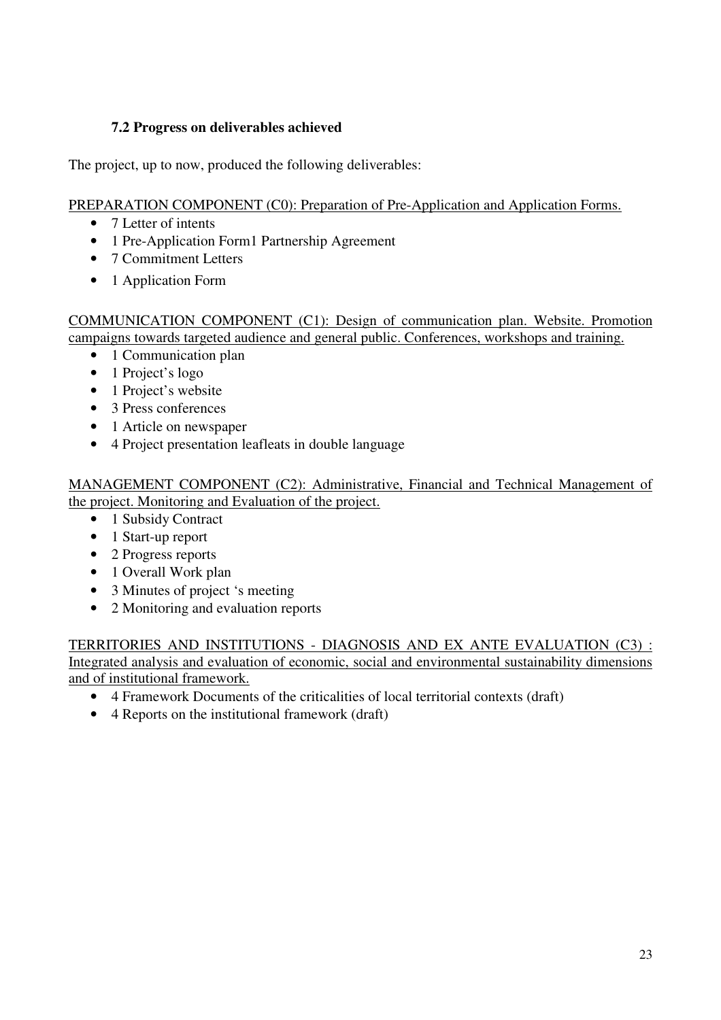#### **7.2 Progress on deliverables achieved**

The project, up to now, produced the following deliverables:

#### PREPARATION COMPONENT (C0): Preparation of Pre-Application and Application Forms.

- 7 Letter of intents
- 1 Pre-Application Form1 Partnership Agreement
- 7 Commitment Letters
- 1 Application Form

COMMUNICATION COMPONENT (C1): Design of communication plan. Website. Promotion campaigns towards targeted audience and general public. Conferences, workshops and training.

- 1 Communication plan
- 1 Project's logo
- 1 Project's website
- 3 Press conferences
- 1 Article on newspaper
- 4 Project presentation leafleats in double language

MANAGEMENT COMPONENT (C2): Administrative, Financial and Technical Management of the project. Monitoring and Evaluation of the project.

- 1 Subsidy Contract
- 1 Start-up report
- 2 Progress reports
- 1 Overall Work plan
- 3 Minutes of project 's meeting
- 2 Monitoring and evaluation reports

TERRITORIES AND INSTITUTIONS - DIAGNOSIS AND EX ANTE EVALUATION (C3) : Integrated analysis and evaluation of economic, social and environmental sustainability dimensions and of institutional framework.

- 4 Framework Documents of the criticalities of local territorial contexts (draft)
- 4 Reports on the institutional framework (draft)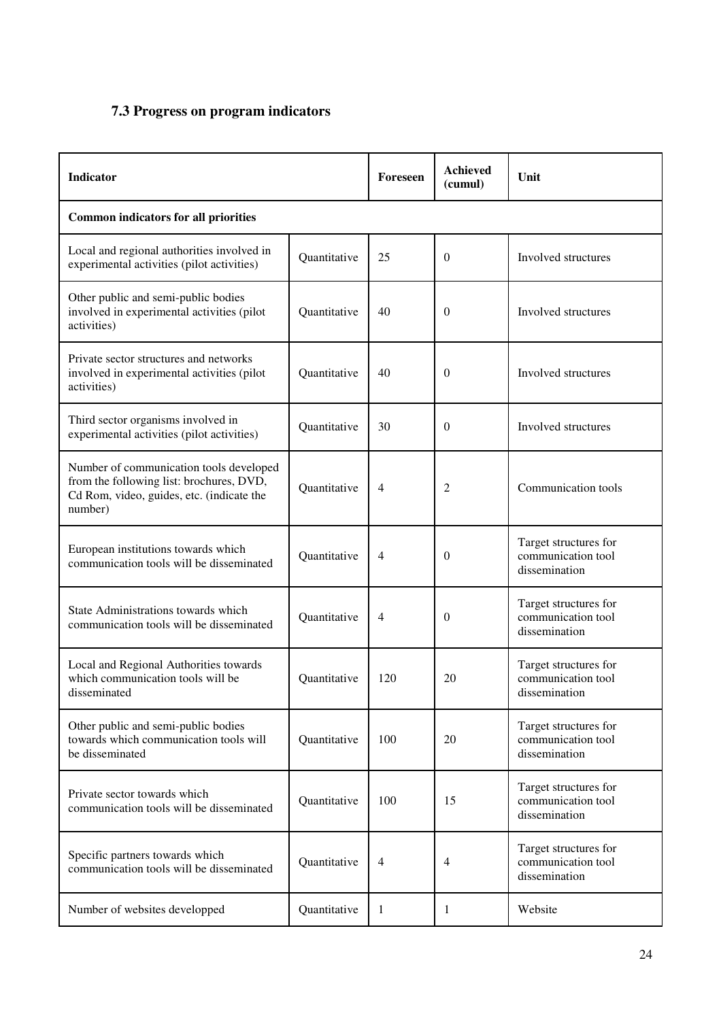#### **7.3 Progress on program indicators**

| Indicator                                                                                                                                   |              | Foreseen       | <b>Achieved</b><br>(cumul) | Unit                                                         |  |  |
|---------------------------------------------------------------------------------------------------------------------------------------------|--------------|----------------|----------------------------|--------------------------------------------------------------|--|--|
| <b>Common indicators for all priorities</b>                                                                                                 |              |                |                            |                                                              |  |  |
| Local and regional authorities involved in<br>experimental activities (pilot activities)                                                    | Quantitative | 25             | $\boldsymbol{0}$           | Involved structures                                          |  |  |
| Other public and semi-public bodies<br>involved in experimental activities (pilot<br>activities)                                            | Quantitative | 40             | $\theta$                   | Involved structures                                          |  |  |
| Private sector structures and networks<br>involved in experimental activities (pilot<br>activities)                                         | Quantitative | 40             | $\boldsymbol{0}$           | Involved structures                                          |  |  |
| Third sector organisms involved in<br>experimental activities (pilot activities)                                                            | Quantitative | 30             | $\theta$                   | Involved structures                                          |  |  |
| Number of communication tools developed<br>from the following list: brochures, DVD,<br>Cd Rom, video, guides, etc. (indicate the<br>number) | Quantitative | $\overline{4}$ | $\overline{c}$             | Communication tools                                          |  |  |
| European institutions towards which<br>communication tools will be disseminated                                                             | Quantitative | 4              | $\theta$                   | Target structures for<br>communication tool<br>dissemination |  |  |
| State Administrations towards which<br>communication tools will be disseminated                                                             | Quantitative | 4              | $\boldsymbol{0}$           | Target structures for<br>communication tool<br>dissemination |  |  |
| Local and Regional Authorities towards<br>which communication tools will be<br>disseminated                                                 | Quantitative | 120            | 20                         | Target structures for<br>communication tool<br>dissemination |  |  |
| Other public and semi-public bodies<br>towards which communication tools will<br>be disseminated                                            | Quantitative | 100            | 20                         | Target structures for<br>communication tool<br>dissemination |  |  |
| Private sector towards which<br>communication tools will be disseminated                                                                    | Quantitative | 100            | 15                         | Target structures for<br>communication tool<br>dissemination |  |  |
| Specific partners towards which<br>communication tools will be disseminated                                                                 | Quantitative | 4              | $\overline{4}$             | Target structures for<br>communication tool<br>dissemination |  |  |
| Number of websites developped                                                                                                               | Quantitative | $\mathbf{1}$   | 1                          | Website                                                      |  |  |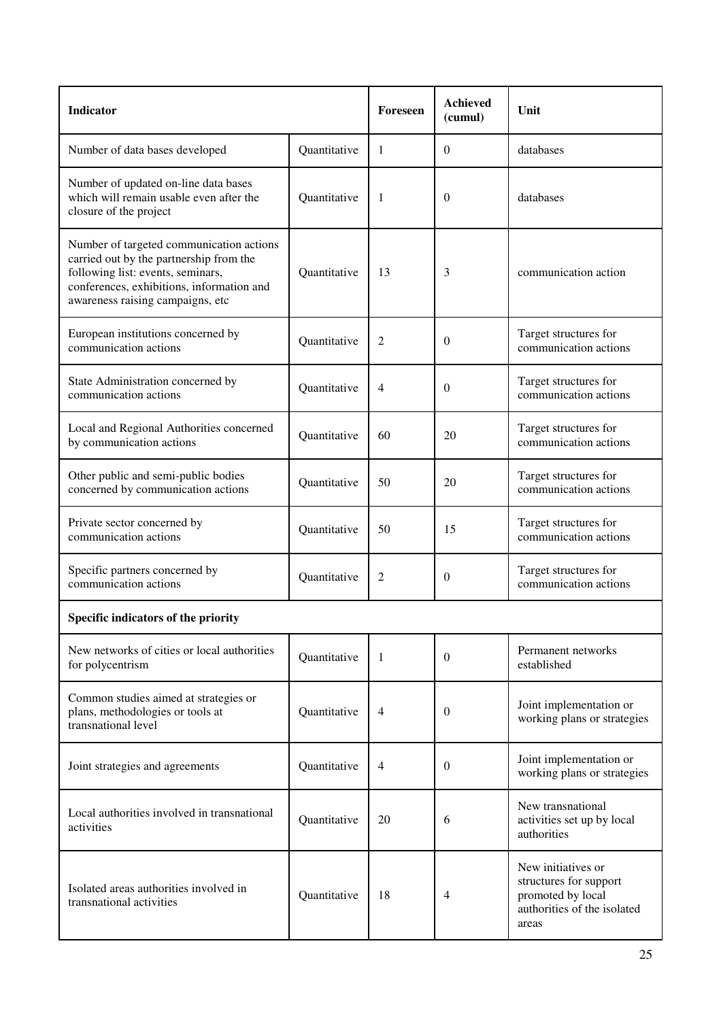| <b>Indicator</b>                                                                                                                                                                                          |              | Foreseen       | <b>Achieved</b><br>(cumul) | Unit                                                                                                      |  |  |
|-----------------------------------------------------------------------------------------------------------------------------------------------------------------------------------------------------------|--------------|----------------|----------------------------|-----------------------------------------------------------------------------------------------------------|--|--|
| Number of data bases developed                                                                                                                                                                            | Quantitative | 1              | $\Omega$                   | databases                                                                                                 |  |  |
| Number of updated on-line data bases<br>which will remain usable even after the<br>closure of the project                                                                                                 | Quantitative | 1              | $\theta$                   | databases                                                                                                 |  |  |
| Number of targeted communication actions<br>carried out by the partnership from the<br>following list: events, seminars,<br>conferences, exhibitions, information and<br>awareness raising campaigns, etc | Quantitative | 13             | 3                          | communication action                                                                                      |  |  |
| European institutions concerned by<br>communication actions                                                                                                                                               | Quantitative | 2              | $\theta$                   | Target structures for<br>communication actions                                                            |  |  |
| State Administration concerned by<br>communication actions                                                                                                                                                | Quantitative | 4              | $\theta$                   | Target structures for<br>communication actions                                                            |  |  |
| Local and Regional Authorities concerned<br>by communication actions                                                                                                                                      | Quantitative | 60             | 20                         | Target structures for<br>communication actions                                                            |  |  |
| Other public and semi-public bodies<br>concerned by communication actions                                                                                                                                 | Quantitative | 50             | 20                         | Target structures for<br>communication actions                                                            |  |  |
| Private sector concerned by<br>communication actions                                                                                                                                                      | Quantitative | 50             | 15                         | Target structures for<br>communication actions                                                            |  |  |
| Specific partners concerned by<br>communication actions                                                                                                                                                   | Quantitative | $\overline{c}$ | $\theta$                   | Target structures for<br>communication actions                                                            |  |  |
| Specific indicators of the priority                                                                                                                                                                       |              |                |                            |                                                                                                           |  |  |
| New networks of cities or local authorities<br>for polycentrism                                                                                                                                           | Quantitative | 1              | $\Omega$                   | Permanent networks<br>established                                                                         |  |  |
| Common studies aimed at strategies or<br>plans, methodologies or tools at<br>transnational level                                                                                                          | Quantitative | $\overline{4}$ | $\Omega$                   | Joint implementation or<br>working plans or strategies                                                    |  |  |
| Joint strategies and agreements                                                                                                                                                                           | Quantitative | 4              | $\theta$                   | Joint implementation or<br>working plans or strategies                                                    |  |  |
| Local authorities involved in transnational<br>activities                                                                                                                                                 | Quantitative | 20             | 6                          | New transnational<br>activities set up by local<br>authorities                                            |  |  |
| Isolated areas authorities involved in<br>transnational activities                                                                                                                                        | Quantitative | 18             | 4                          | New initiatives or<br>structures for support<br>promoted by local<br>authorities of the isolated<br>areas |  |  |